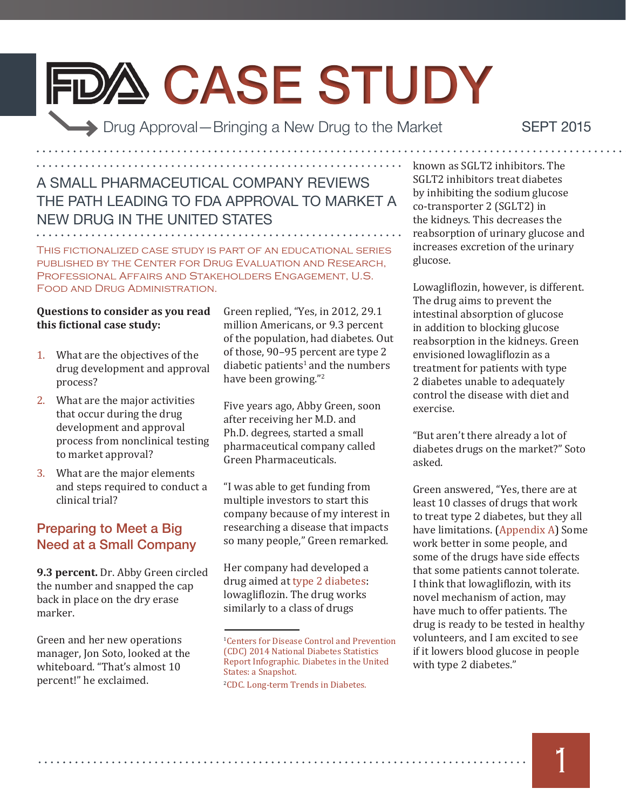# FDA CASE STUDY

Drug Approval—Bringing a New Drug to the Market

Sept 2015

### A SMALL PHARMACEUTICAL COMPANY REVIEWS THE PATH LEADING TO FDA APPROVAL TO MARKET A NEW DRUG IN THE UNITED STATES

This fictionalized case study is part of an educational series published by the Center for Drug Evaluation and Research, Professional Affairs and Stakeholders Engagement, U.S. Food and Drug Administration.

#### **Questions to consider as you read this fictional case study:**

- 1. What are the objectives of the drug development and approval process?
- 2. What are the major activities that occur during the drug development and approval process from nonclinical testing to market approval?
- 3. What are the major elements and steps required to conduct a clinical trial?

#### Preparing to Meet a Big Need at a Small Company

**9.3 percent.** Dr. Abby Green circled the number and snapped the cap back in place on the dry erase marker.

Green and her new operations manager, Jon Soto, looked at the whiteboard. "That's almost 10 percent!" he exclaimed.

Green replied, "Yes, in 2012, 29.1 million Americans, or 9.3 percent of the population, had diabetes. Out of those, 90–95 percent are type 2 diabetic patients<sup>1</sup> and the numbers have been growing."<sup>2</sup>

Five years ago, Abby Green, soon after receiving her M.D. and Ph.D. degrees, started a small pharmaceutical company called Green Pharmaceuticals.

"I was able to get funding from multiple investors to start this company because of my interest in researching a disease that impacts so many people," Green remarked.

Her company had developed a drug aimed at type 2 diabetes: lowagliflozin. The drug works similarly to a class of drugs

2 [CDC. Long-term Trends in Diabetes.](http://www.cdc.gov/diabetes/statistics/slides/long_term_trends.pdf)

known as SGLT2 inhibitors. The SGLT2 inhibitors treat diabetes by inhibiting the sodium glucose co-transporter 2 (SGLT2) in the kidneys. This decreases the reabsorption of urinary glucose and increases excretion of the urinary glucose.

Lowagliflozin, however, is different. The drug aims to prevent the intestinal absorption of glucose in addition to blocking glucose reabsorption in the kidneys. Green envisioned lowagliflozin as a treatment for patients with type 2 diabetes unable to adequately control the disease with diet and exercise.

"But aren't there already a lot of diabetes drugs on the market?" Soto asked.

Green answered, "Yes, there are at least 10 classes of drugs that work to treat type 2 diabetes, but they all have limitations. [\(Appendix A\)](#page-20-0) Some work better in some people, and some of the drugs have side effects that some patients cannot tolerate. I think that lowagliflozin, with its novel mechanism of action, may have much to offer patients. The drug is ready to be tested in healthy volunteers, and I am excited to see if it lowers blood glucose in people with type 2 diabetes."

<sup>1</sup> [Centers for Disease Control and Prevention](http://www.cdc.gov/diabetes/pubs/statsreport14/diabetes-infographic.pdf)  [\(CDC\) 2014 National Diabetes Statistics](http://www.cdc.gov/diabetes/pubs/statsreport14/diabetes-infographic.pdf)  [Report Infographic. Diabetes in the United](http://www.cdc.gov/diabetes/pubs/statsreport14/diabetes-infographic.pdf)  [States: a Snapshot.](http://www.cdc.gov/diabetes/pubs/statsreport14/diabetes-infographic.pdf)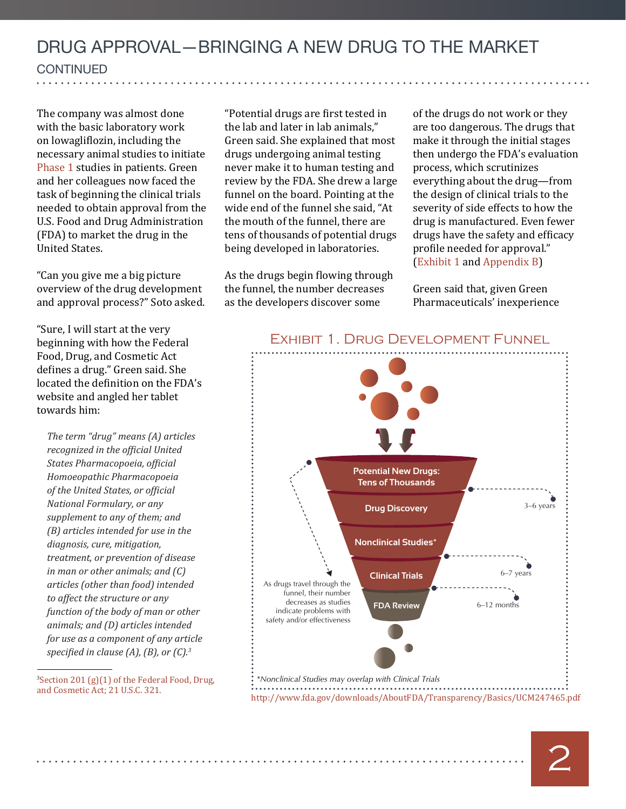The company was almost done with the basic laboratory work on lowagliflozin, including the necessary animal studies to initiate Phase 1 studies in patients. Green and her colleagues now faced the task of beginning the clinical trials needed to obtain approval from the U.S. Food and Drug Administration (FDA) to market the drug in the United States.

"Can you give me a big picture overview of the drug development and approval process?" Soto asked.

"Sure, I will start at the very beginning with how the Federal Food, Drug, and Cosmetic Act defines a drug." Green said. She located the definition on the FDA's website and angled her tablet towards him:

*The term "drug" means (A) articles recognized in the official United States Pharmacopoeia, official Homoeopathic Pharmacopoeia of the United States, or official National Formulary, or any supplement to any of them; and (B) articles intended for use in the diagnosis, cure, mitigation, treatment, or prevention of disease in man or other animals; and (C) articles (other than food) intended to affect the structure or any function of the body of man or other animals; and (D) articles intended for use as a component of any article specified in clause (A), (B), or (C).<sup>3</sup>*

[and Cosmetic Act; 21 U.S.C. 321.](http://www.gpo.gov/fdsys/pkg/USCODE-2010-title21/html/USCODE-2010-title21-chap9-subchapII-sec321.htm) 

"Potential drugs are first tested in the lab and later in lab animals," Green said. She explained that most drugs undergoing animal testing never make it to human testing and review by the FDA. She drew a large funnel on the board. Pointing at the wide end of the funnel she said, "At the mouth of the funnel, there are tens of thousands of potential drugs being developed in laboratories.

As the drugs begin flowing through the funnel, the number decreases as the developers discover some

of the drugs do not work or they are too dangerous. The drugs that make it through the initial stages then undergo the FDA's evaluation process, which scrutinizes everything about the drug—from the design of clinical trials to the severity of side effects to how the drug is manufactured. Even fewer drugs have the safety and efficacy profile needed for approval." [\(Exhibit 1](#page-1-0) and [Appendix B\)](#page-21-0)

Green said that, given Green Pharmaceuticals' inexperience



#### <span id="page-1-0"></span>Exhibit 1. Drug Development Funnel

2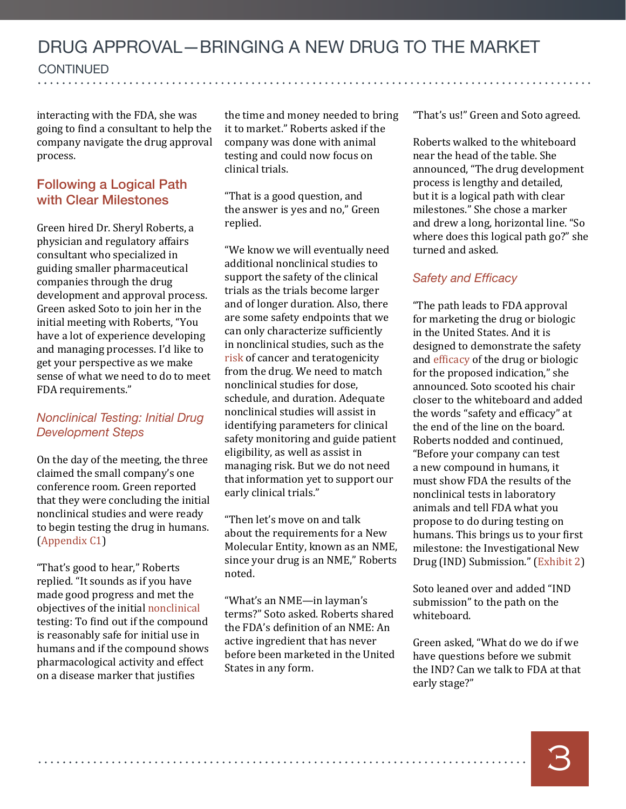**CONTINUED** continued

interacting with the FDA, she was going to find a consultant to help the company navigate the drug approval process.

#### Following a Logical Path with Clear Milestones

Green hired Dr. Sheryl Roberts, a physician and regulatory affairs consultant who specialized in guiding smaller pharmaceutical companies through the drug development and approval process. Green asked Soto to join her in the initial meeting with Roberts, "You have a lot of experience developing and managing processes. I'd like to get your perspective as we make sense of what we need to do to meet FDA requirements."

#### *Nonclinical Testing: Initial Drug Development Steps*

On the day of the meeting, the three claimed the small company's one conference room. Green reported that they were concluding the initial nonclinical studies and were ready to begin testing the drug in humans. [\(Appendix C1\)](#page-21-1)

"That's good to hear," Roberts replied. "It sounds as if you have made good progress and met the objectives of the initial nonclinical testing: To find out if the compound is reasonably safe for initial use in humans and if the compound shows pharmacological activity and effect on a disease marker that justifies

the time and money needed to bring it to market." Roberts asked if the company was done with animal testing and could now focus on clinical trials.

"That is a good question, and the answer is yes and no," Green replied.

"We know we will eventually need additional nonclinical studies to support the safety of the clinical trials as the trials become larger and of longer duration. Also, there are some safety endpoints that we can only characterize sufficiently in nonclinical studies, such as the risk of cancer and teratogenicity from the drug. We need to match nonclinical studies for dose, schedule, and duration. Adequate nonclinical studies will assist in identifying parameters for clinical safety monitoring and guide patient eligibility, as well as assist in managing risk. But we do not need that information yet to support our early clinical trials."

"Then let's move on and talk about the requirements for a New Molecular Entity, known as an NME, since your drug is an NME," Roberts noted.

"What's an NME—in layman's terms?" Soto asked. Roberts shared the FDA's definition of an NME: An active ingredient that has never before been marketed in the United States in any form.

"That's us!" Green and Soto agreed.

Roberts walked to the whiteboard near the head of the table. She announced, "The drug development process is lengthy and detailed, but it is a logical path with clear milestones." She chose a marker and drew a long, horizontal line. "So where does this logical path go?" she turned and asked.

#### *Safety and Efficacy*

"The path leads to FDA approval for marketing the drug or biologic in the United States. And it is designed to demonstrate the safety and [efficacy](#page-25-0) of the drug or biologic for the proposed indication," she announced. Soto scooted his chair closer to the whiteboard and added the words "safety and efficacy" at the end of the line on the board. Roberts nodded and continued, "Before your company can test a new compound in humans, it must show FDA the results of the nonclinical tests in laboratory animals and tell FDA what you propose to do during testing on humans. This brings us to your first milestone: the Investigational New Drug (IND) Submission." (Exhibit 2)

Soto leaned over and added "IND submission" to the path on the whiteboard.

Green asked, "What do we do if we have questions before we submit the IND? Can we talk to FDA at that early stage?"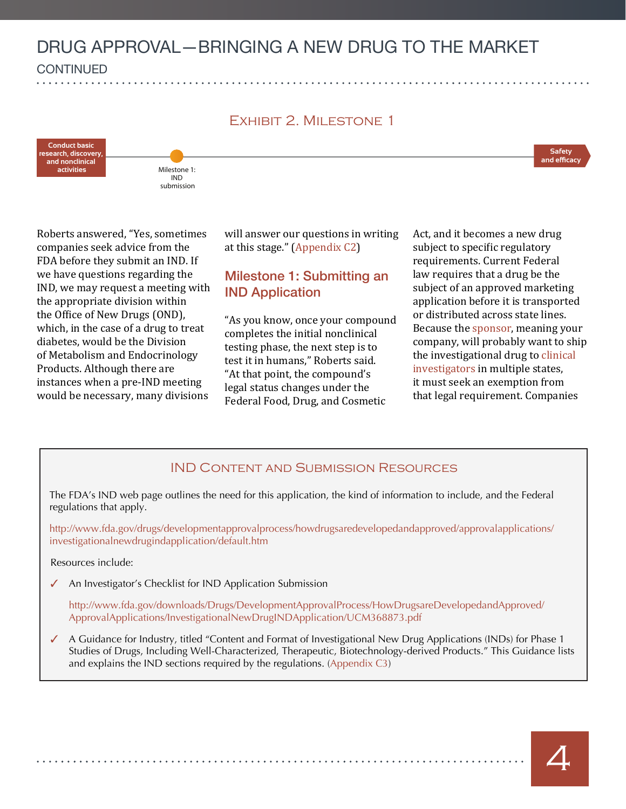#### Exhibit 2. Milestone 1

**Conduct basic research, discovery, and nonclinical activities**



Roberts answered, "Yes, sometimes companies seek advice from the FDA before they submit an IND. If we have questions regarding the IND, we may request a meeting with the appropriate division within the Office of New Drugs (OND), which, in the case of a drug to treat diabetes, would be the Division of Metabolism and Endocrinology Products. Although there are instances when a pre-IND meeting would be necessary, many divisions

will answer our questions in writing at this stage." [\(Appendix C2\)](#page-21-2)

#### Milestone 1: Submitting an IND Application

"As you know, once your compound completes the initial nonclinical testing phase, the next step is to test it in humans," Roberts said. "At that point, the compound's legal status changes under the Federal Food, Drug, and Cosmetic

Act, and it becomes a new drug subject to specific regulatory requirements. Current Federal law requires that a drug be the subject of an approved marketing application before it is transported or distributed across state lines. Because the sponsor, meaning your company, will probably want to ship the investigational drug to [clinical](#page-24-0)  [investigators](#page-24-0) in multiple states, it must seek an exemption from that legal requirement. Companies

**Safety**  and efficac**y** 

#### IND Content and Submission Resources

The FDA's IND web page outlines the need for this application, the kind of information to include, and the Federal regulations that apply.

[http://www.fda.gov/drugs/developmentapprovalprocess/howdrugsaredevelopedandapproved/approvalapplications/](http://www.fda.gov/drugs/developmentapprovalprocess/howdrugsaredevelopedandapproved/approvalapplications/investigationalnewdrugindapplication/default.htm) [investigationalnewdrugindapplication/default.htm](http://www.fda.gov/drugs/developmentapprovalprocess/howdrugsaredevelopedandapproved/approvalapplications/investigationalnewdrugindapplication/default.htm)

Resources include:

An Investigator's Checklist for IND Application Submission

[http://www.fda.gov/downloads/Drugs/DevelopmentApprovalProcess/HowDrugsareDevelopedandApproved/](http://www.fda.gov/downloads/Drugs/DevelopmentApprovalProcess/HowDrugsareDevelopedandApproved/ApprovalApplications/InvestigationalNewDrugINDApplication/UCM368873.pdf) [ApprovalApplications/InvestigationalNewDrugINDApplication/UCM368873.pdf](http://www.fda.gov/downloads/Drugs/DevelopmentApprovalProcess/HowDrugsareDevelopedandApproved/ApprovalApplications/InvestigationalNewDrugINDApplication/UCM368873.pdf)

A Guidance for Industry, titled "Content and Format of Investigational New Drug Applications (INDs) for Phase 1 Studies of Drugs, Including Well-Characterized, Therapeutic, Biotechnology-derived Products." This Guidance lists and explains the IND sections required by the regulations. [\(Appendix C3\)](#page-21-3)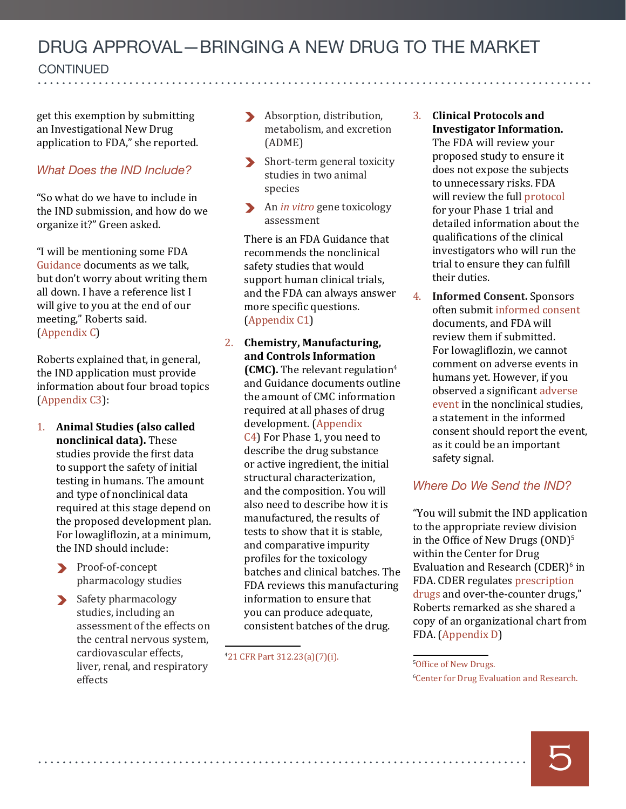**CONTINUED** continued

get this exemption by submitting an Investigational New Drug application to FDA," she reported.

#### *What Does the IND Include?*

"So what do we have to include in the IND submission, and how do we organize it?" Green asked.

"I will be mentioning some FDA Guidance documents as we talk, but don't worry about writing them all down. I have a reference list I will give to you at the end of our meeting," Roberts said. [\(Appendix C\)](#page-21-4)

Roberts explained that, in general, the IND application must provide information about four broad topics [\(Appendix C3\)](#page-21-3):

- 1. **Animal Studies (also called nonclinical data).** These studies provide the first data to support the safety of initial testing in humans. The amount and type of nonclinical data required at this stage depend on the proposed development plan. For lowagliflozin, at a minimum, the IND should include:
	- Proof-of-concept pharmacology studies
	- Safety pharmacology studies, including an assessment of the effects on the central nervous system, cardiovascular effects, liver, renal, and respiratory effects
- Absorption, distribution, metabolism, and excretion (ADME)
- Short-term general toxicity studies in two animal species
- An *in vitro* gene toxicology assessment

There is an FDA Guidance that recommends the nonclinical safety studies that would support human clinical trials, and the FDA can always answer more specific questions. [\(Appendix C1\)](#page-21-1)

2. **Chemistry, Manufacturing, and Controls Information (CMC).** The relevant regulation<sup>4</sup> and Guidance documents outline the amount of CMC information required at all phases of drug development. ([Appendix](#page-22-0) [C4](#page-22-0)) For Phase 1, you need to describe the drug substance or active ingredient, the initial structural characterization, and the composition. You will also need to describe how it is manufactured, the results of tests to show that it is stable, and comparative impurity profiles for the toxicology batches and clinical batches. The FDA reviews this manufacturing information to ensure that you can produce adequate, consistent batches of the drug.

4 [21 CFR Part 312.23\(a\)\(7\)\(i\).](https://www.accessdata.fda.gov/scripts/cdrh/cfdocs/cfCFR/CFRSearch.cfm?fr=312.23) <sup>5</sup>

3. **Clinical Protocols and Investigator Information.** The FDA will review your proposed study to ensure it does not expose the subjects to unnecessary risks. FDA will review the full protocol for your Phase 1 trial and detailed information about the qualifications of the clinical investigators who will run the trial to ensure they can fulfill their duties.

. . . . . . . . . . . . . . . .

4. **Informed Consent.** Sponsors often submit informed consent documents, and FDA will review them if submitted. For lowagliflozin, we cannot comment on adverse events in humans yet. However, if you observed a significant [adverse](#page-24-1) [event i](#page-24-1)n the nonclinical studies, a statement in the informed consent should report the event, as it could be an important safety signal.

#### *Where Do We Send the IND?*

"You will submit the IND application to the appropriate review division in the Office of New Drugs  $(OND)^5$ within the Center for Drug Evaluation and Research (CDER)<sup>6</sup> in FDA. CDER regulates prescription drugs and over-the-counter drugs," Roberts remarked as she shared a copy of an organizational chart from FDA. (Appendix D)



<sup>&</sup>lt;sup>5</sup>[Office of New Drugs.](http://www.fda.gov/AboutFDA/CentersOffices/OfficeofMedicalProductsandTobacco/CDER/ucm184426.htm)

<sup>6</sup> C[enter for Drug Evaluation and Research.](http://www.fda.gov/AboutFDA/CentersOffices/OfficeofMedicalProductsandTobacco/CDER/ucm075128.htm)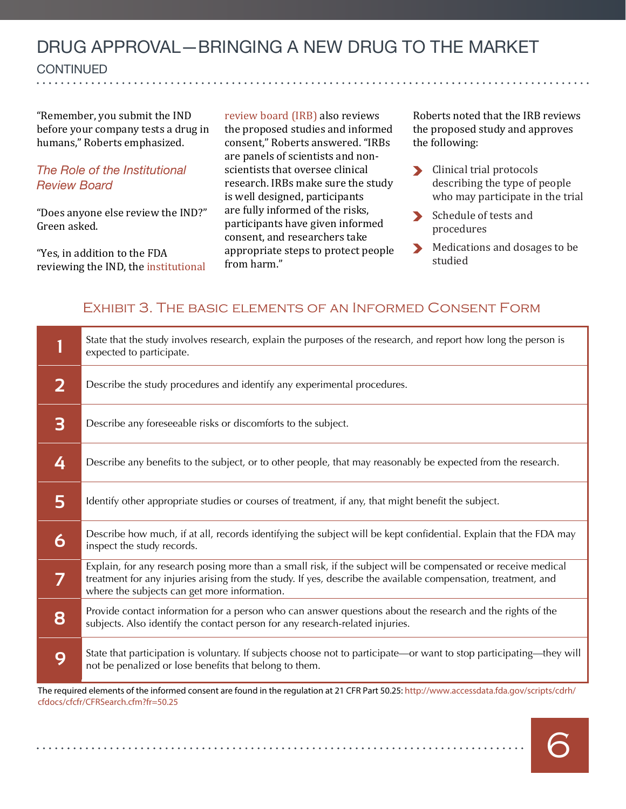**CONTINUED**  $\overline{a}$ 

"Remember, you submit the IND before your company tests a drug in humans," Roberts emphasized.

#### *The Role of the Institutional Review Board*

"Does anyone else review the IND?" Green asked.

"Yes, in addition to the FDA reviewing the IND, the institutional review board (IRB) also reviews the proposed studies and informed consent," Roberts answered. "IRBs are panels of scientists and nonscientists that oversee clinical research. IRBs make sure the study is well designed, participants are fully informed of the risks, participants have given informed consent, and researchers take appropriate steps to protect people from harm."

Roberts noted that the IRB reviews the proposed study and approves the following:

- $\blacktriangleright$ Clinical trial protocols describing the type of people who may participate in the trial
- Schedule of tests and  $\blacktriangleright$ procedures
- Medications and dosages to be studied

#### Exhibit 3. The basic elements of an Informed Consent Form

|                                                                                                                                             | State that the study involves research, explain the purposes of the research, and report how long the person is<br>expected to participate.                                                                                                                                      |  |
|---------------------------------------------------------------------------------------------------------------------------------------------|----------------------------------------------------------------------------------------------------------------------------------------------------------------------------------------------------------------------------------------------------------------------------------|--|
| 2                                                                                                                                           | Describe the study procedures and identify any experimental procedures.                                                                                                                                                                                                          |  |
| 3                                                                                                                                           | Describe any foreseeable risks or discomforts to the subject.                                                                                                                                                                                                                    |  |
| 4                                                                                                                                           | Describe any benefits to the subject, or to other people, that may reasonably be expected from the research.                                                                                                                                                                     |  |
| 5                                                                                                                                           | Identify other appropriate studies or courses of treatment, if any, that might benefit the subject.                                                                                                                                                                              |  |
| 6                                                                                                                                           | Describe how much, if at all, records identifying the subject will be kept confidential. Explain that the FDA may<br>inspect the study records.                                                                                                                                  |  |
| 7                                                                                                                                           | Explain, for any research posing more than a small risk, if the subject will be compensated or receive medical<br>treatment for any injuries arising from the study. If yes, describe the available compensation, treatment, and<br>where the subjects can get more information. |  |
| 8                                                                                                                                           | Provide contact information for a person who can answer questions about the research and the rights of the<br>subjects. Also identify the contact person for any research-related injuries.                                                                                      |  |
| 9                                                                                                                                           | State that participation is voluntary. If subjects choose not to participate—or want to stop participating—they will<br>not be penalized or lose benefits that belong to them.                                                                                                   |  |
| The required elements of the informed consent are found in the requistion at 21 CER Part 50.25; http://www.accessdata fda.gov/scripts/cdrh/ |                                                                                                                                                                                                                                                                                  |  |

ired elements of the informed consent are found in the regulation at 21 CFR Part 50.25: [http://www.accessdata.fda.gov/scripts/cdrh/](http://www.accessdata.fda.gov/scripts/cdrh/cfdocs/cfcfr/CFRSearch.cfm?fr=50.25) [cfdocs/cfcfr/CFRSearch.cfm?fr=50.25](http://www.accessdata.fda.gov/scripts/cdrh/cfdocs/cfcfr/CFRSearch.cfm?fr=50.25)

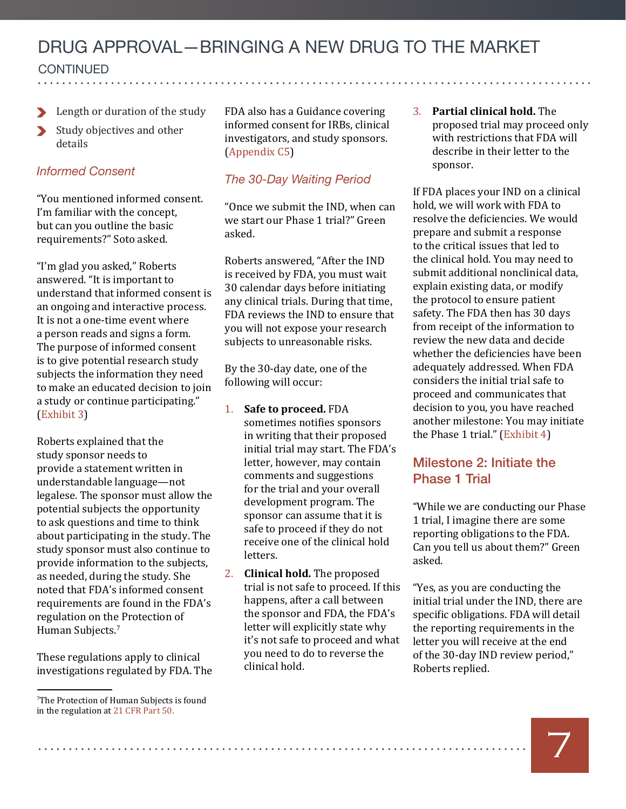**CONTINUED** continued

- Length or duration of the study
- Study objectives and other  $\blacktriangleright$ details

#### *Informed Consent*

"You mentioned informed consent. I'm familiar with the concept, but can you outline the basic requirements?" Soto asked.

"I'm glad you asked," Roberts answered. "It is important to understand that informed consent is an ongoing and interactive process. It is not a one-time event where a person reads and signs a form. The purpose of informed consent is to give potential research study subjects the information they need to make an educated decision to join a study or continue participating." (Exhibit 3)

Roberts explained that the study sponsor needs to provide a statement written in understandable language—not legalese. The sponsor must allow the potential subjects the opportunity to ask questions and time to think about participating in the study. The study sponsor must also continue to provide information to the subjects, as needed, during the study. She noted that FDA's informed consent requirements are found in the FDA's regulation on the Protection of Human Subjects.<sup>7</sup>

These regulations apply to clinical investigations regulated by FDA. The

7 [The Protection of Human Subjects is found](http://www.accessdata.fda.gov/scripts/cdrh/cfdocs/cfcfr/CFRSearch.cfm?fr=50.50)  [in the regulation at 21 CFR Part 50.](http://www.accessdata.fda.gov/scripts/cdrh/cfdocs/cfcfr/CFRSearch.cfm?fr=50.50)

FDA also has a Guidance covering informed consent for IRBs, clinical investigators, and study sponsors. [\(Appendix C5\)](#page-22-1)

#### *The 30-Day Waiting Period*

"Once we submit the IND, when can we start our Phase 1 trial?" Green asked.

Roberts answered, "After the IND is received by FDA, you must wait 30 calendar days before initiating any clinical trials. During that time, FDA reviews the IND to ensure that you will not expose your research subjects to unreasonable risks.

By the 30-day date, one of the following will occur:

- 1. **Safe to proceed.** FDA sometimes notifies sponsors in writing that their proposed initial trial may start. The FDA's letter, however, may contain comments and suggestions for the trial and your overall development program. The sponsor can assume that it is safe to proceed if they do not receive one of the clinical hold letters.
- 2. **Clinical hold.** The proposed trial is not safe to proceed. If this happens, after a call between the sponsor and FDA, the FDA's letter will explicitly state why it's not safe to proceed and what you need to do to reverse the clinical hold.

3. **Partial clinical hold.** The proposed trial may proceed only with restrictions that FDA will describe in their letter to the sponsor.

If FDA places your IND on a clinical hold, we will work with FDA to resolve the deficiencies. We would prepare and submit a response to the critical issues that led to the clinical hold. You may need to submit additional nonclinical data, explain existing data, or modify the protocol to ensure patient safety. The FDA then has 30 days from receipt of the information to review the new data and decide whether the deficiencies have been adequately addressed. When FDA considers the initial trial safe to proceed and communicates that decision to you, you have reached another milestone: You may initiate the Phase 1 trial." (Exhibit 4)

#### Milestone 2: Initiate the Phase 1 Trial

"While we are conducting our Phase 1 trial, I imagine there are some reporting obligations to the FDA. Can you tell us about them?" Green asked.

"Yes, as you are conducting the initial trial under the IND, there are specific obligations. FDA will detail the reporting requirements in the letter you will receive at the end of the 30-day IND review period," Roberts replied.

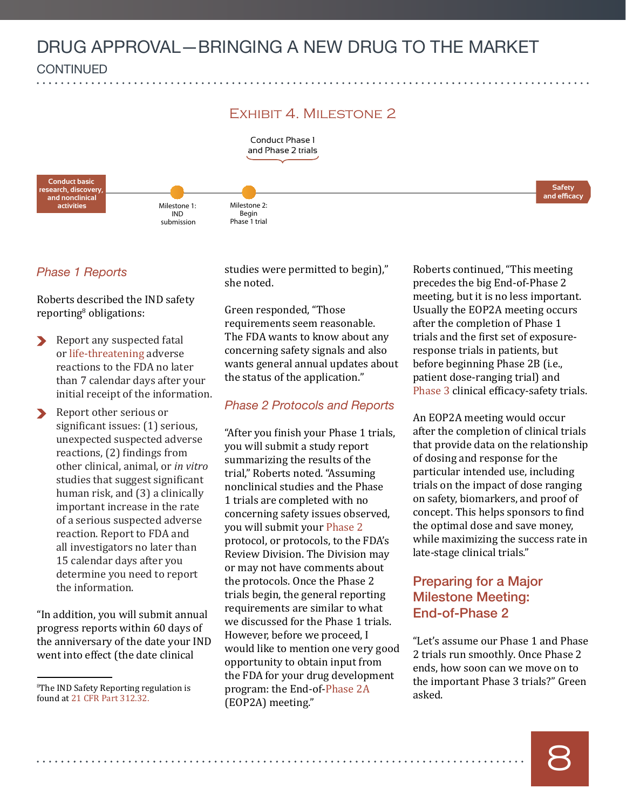



#### *Phase 1 Reports*

Roberts described the IND safety reporting<sup>8</sup> obligations:

- Report any suspected fatal or life-threatening adverse reactions to the FDA no later than 7 calendar days after your initial receipt of the information.
- Report other serious or significant issues: (1) serious, unexpected suspected adverse reactions, (2) findings from other clinical, animal, or *in vitro*  studies that suggest significant human risk, and (3) a clinically important increase in the rate of a serious suspected adverse reaction. Report to FDA and all investigators no later than 15 calendar days after you determine you need to report the information.

"In addition, you will submit annual progress reports within 60 days of the anniversary of the date your IND went into effect (the date clinical

studies were permitted to begin)," she noted.

Green responded, "Those requirements seem reasonable. The FDA wants to know about any concerning safety signals and also wants general annual updates about the status of the application."

#### *Phase 2 Protocols and Reports*

"After you finish your Phase 1 trials, you will submit a study report summarizing the results of the trial," Roberts noted. "Assuming nonclinical studies and the Phase 1 trials are completed with no concerning safety issues observed, you will submit your Phase 2 protocol, or protocols, to the FDA's Review Division. The Division may or may not have comments about the protocols. Once the Phase 2 trials begin, the general reporting requirements are similar to what we discussed for the Phase 1 trials. However, before we proceed, I would like to mention one very good opportunity to obtain input from the FDA for your drug development The IND Safety Reporting regulation is row program: the End-of-Phase 2A asked.<br>found at 21 CFR Part 312.32. respectively asked. (EOP2A) meeting."

Roberts continued, "This meeting precedes the big End-of-Phase 2 meeting, but it is no less important. Usually the EOP2A meeting occurs after the completion of Phase 1 trials and the first set of exposureresponse trials in patients, but before beginning Phase 2B (i.e., patient dose-ranging trial) and Phase 3 clinical efficacy-safety trials.

An EOP2A meeting would occur after the completion of clinical trials that provide data on the relationship of dosing and response for the particular intended use, including trials on the impact of dose ranging on safety, biomarkers, and proof of concept. This helps sponsors to find the optimal dose and save money, while maximizing the success rate in late-stage clinical trials."

#### Preparing for a Major Milestone Meeting: End-of-Phase 2

"Let's assume our Phase 1 and Phase 2 trials run smoothly. Once Phase 2 ends, how soon can we move on to the important Phase 3 trials?" Green

<sup>&</sup>lt;sup>8</sup>The IND Safety Reporting regulation is [found at 21 CFR Part 312.32.](http://www.accessdata.fda.gov/scripts/cdrh/cfdocs/cfcfr/CFRSearch.cfm?fr=312.32)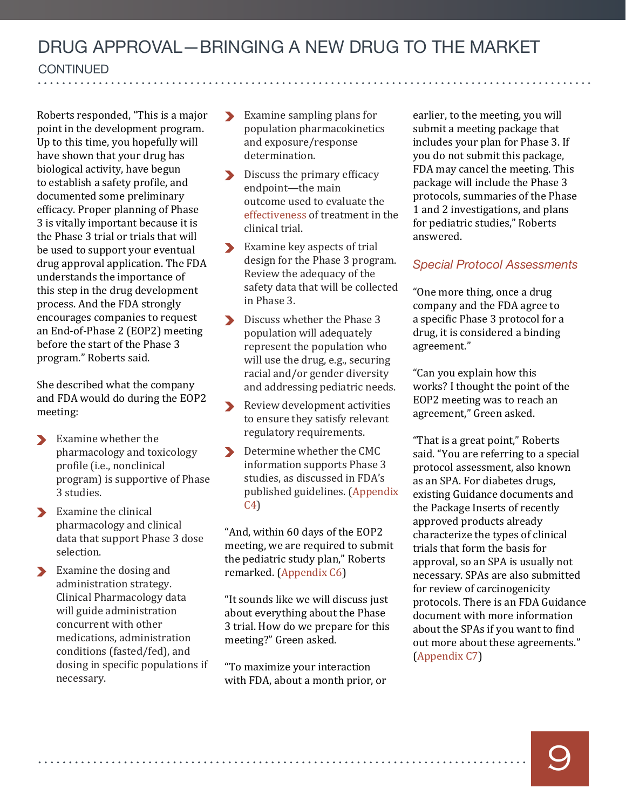Roberts responded, "This is a major point in the development program. Up to this time, you hopefully will have shown that your drug has biological activity, have begun to establish a safety profile, and documented some preliminary efficacy. Proper planning of Phase 3 is vitally important because it is the Phase 3 trial or trials that will be used to support your eventual drug approval application. The FDA understands the importance of this step in the drug development process. And the FDA strongly encourages companies to request an End-of-Phase 2 (EOP2) meeting before the start of the Phase 3 program." Roberts said.

She described what the company and FDA would do during the EOP2 meeting:

- Examine whether the  $\blacktriangleright$ pharmacology and toxicology profile (i.e., nonclinical program) is supportive of Phase 3 studies.
- Examine the clinical pharmacology and clinical data that support Phase 3 dose selection.
- Examine the dosing and administration strategy. Clinical Pharmacology data will guide administration concurrent with other medications, administration conditions (fasted/fed), and dosing in specific populations if necessary.

- Examine sampling plans for population pharmacokinetics and exposure/response determination.
- **Discuss the primary efficacy** endpoint—the main outcome used to evaluate the [effectiveness](#page-25-1) of treatment in the clinical trial.
- Examine key aspects of trial design for the Phase 3 program. Review the adequacy of the safety data that will be collected in Phase 3.
- Discuss whether the Phase 3 population will adequately represent the population who will use the drug, e.g., securing racial and/or gender diversity and addressing pediatric needs.
- Review development activities to ensure they satisfy relevant regulatory requirements.
- Determine whether the CMC information supports Phase 3 studies, as discussed in FDA's published guidelines. [\(Appendix](#page-22-0)  [C4](#page-22-0))

"And, within 60 days of the EOP2 meeting, we are required to submit the pediatric study plan," Roberts remarked. [\(Appendix C6\)](#page-22-2)

"It sounds like we will discuss just about everything about the Phase 3 trial. How do we prepare for this meeting?" Green asked.

"To maximize your interaction with FDA, about a month prior, or earlier, to the meeting, you will submit a meeting package that includes your plan for Phase 3. If you do not submit this package, FDA may cancel the meeting. This package will include the Phase 3 protocols, summaries of the Phase 1 and 2 investigations, and plans for pediatric studies," Roberts answered.

#### *Special Protocol Assessments*

"One more thing, once a drug company and the FDA agree to a specific Phase 3 protocol for a drug, it is considered a binding agreement."

"Can you explain how this works? I thought the point of the EOP2 meeting was to reach an agreement," Green asked.

"That is a great point," Roberts said. "You are referring to a special protocol assessment, also known as an SPA. For diabetes drugs, existing Guidance documents and the Package Inserts of recently approved products already characterize the types of clinical trials that form the basis for approval, so an SPA is usually not necessary. SPAs are also submitted for review of carcinogenicity protocols. There is an FDA Guidance document with more information about the SPAs if you want to find out more about these agreements." [\(Appendix C7\)](#page-22-3)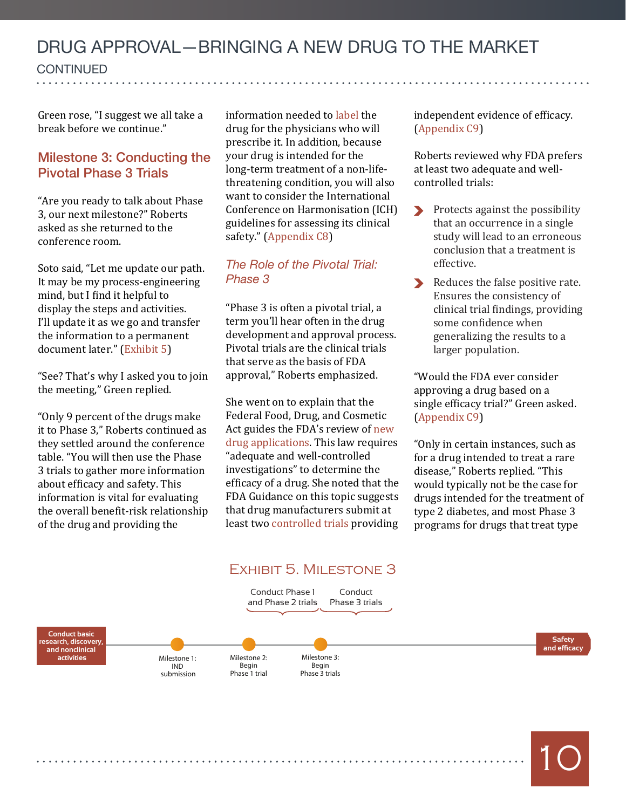**CONTINUED**  $\overline{a}$ 

Green rose, "I suggest we all take a break before we continue."

#### Milestone 3: Conducting the Pivotal Phase 3 Trials

"Are you ready to talk about Phase 3, our next milestone?" Roberts asked as she returned to the conference room.

Soto said, "Let me update our path. It may be my process-engineering mind, but I find it helpful to display the steps and activities. I'll update it as we go and transfer the information to a permanent document later." (Exhibit 5)

"See? That's why I asked you to join the meeting," Green replied.

"Only 9 percent of the drugs make it to Phase 3," Roberts continued as they settled around the conference table. "You will then use the Phase 3 trials to gather more information about efficacy and safety. This information is vital for evaluating the overall benefit-risk relationship of the drug and providing the

information needed to label the drug for the physicians who will prescribe it. In addition, because your drug is intended for the long-term treatment of a non-lifethreatening condition, you will also want to consider the International Conference on Harmonisation (ICH) guidelines for assessing its clinical safety." [\(Appendix C8\)](#page-22-4)

#### *The Role of the Pivotal Trial: Phase 3*

"Phase 3 is often a pivotal trial, a term you'll hear often in the drug development and approval process. Pivotal trials are the clinical trials that serve as the basis of FDA approval," Roberts emphasized.

She went on to explain that the Federal Food, Drug, and Cosmetic Act guides the FDA's review of new drug applications. This law requires "adequate and well-controlled investigations" to determine the efficacy of a drug. She noted that the FDA Guidance on this topic suggests that drug manufacturers submit at least two [controlled trials](#page-25-2) providing

independent evidence of efficacy. [\(Appendix C9\)](#page-22-5)

Roberts reviewed why FDA prefers at least two adequate and wellcontrolled trials:

- Protects against the possibility that an occurrence in a single study will lead to an erroneous conclusion that a treatment is effective.
- Reduces the false positive rate.  $\blacktriangleright$ Ensures the consistency of clinical trial findings, providing some confidence when generalizing the results to a larger population.

"Would the FDA ever consider approving a drug based on a single efficacy trial?" Green asked. [\(Appendix C9\)](#page-22-5)

"Only in certain instances, such as for a drug intended to treat a rare disease," Roberts replied. "This would typically not be the case for drugs intended for the treatment of type 2 diabetes, and most Phase 3 programs for drugs that treat type

10

#### Exhibit 5. Milestone 3

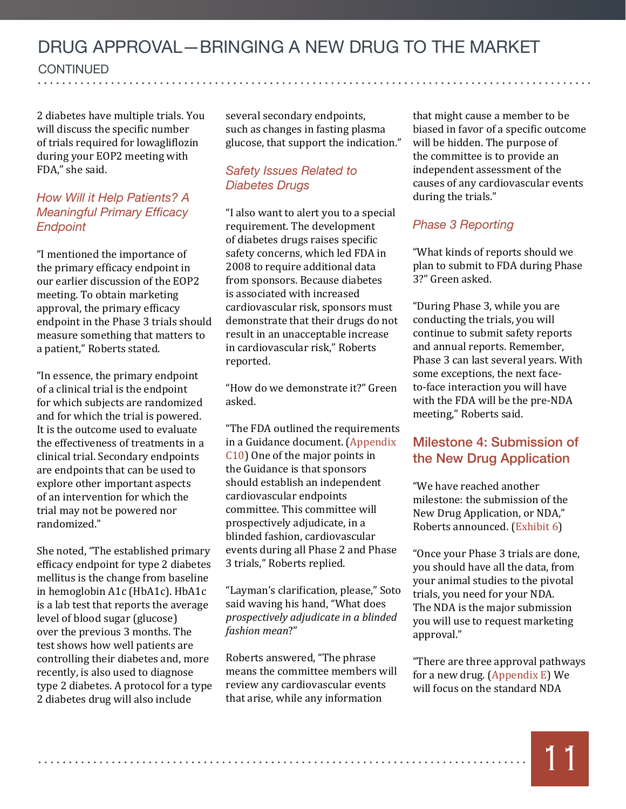**CONTINUED** continued

2 diabetes have multiple trials. You will discuss the specific number of trials required for lowagliflozin during your EOP2 meeting with FDA," she said.

#### *How Will it Help Patients? A Meaningful Primary Efficacy Endpoint*

"I mentioned the importance of the primary efficacy endpoint in our earlier discussion of the EOP2 meeting. To obtain marketing approval, the primary efficacy endpoint in the Phase 3 trials should measure something that matters to a patient," Roberts stated.

"In essence, the primary endpoint of a clinical trial is the endpoint for which subjects are randomized and for which the trial is powered. It is the outcome used to evaluate the effectiveness of treatments in a clinical trial. Secondary endpoints are endpoints that can be used to explore other important aspects of an intervention for which the trial may not be powered nor randomized."

She noted, "The established primary efficacy endpoint for type 2 diabetes mellitus is the change from baseline in hemoglobin A1c (HbA1c). HbA1c is a lab test that reports the average level of blood sugar (glucose) over the previous 3 months. The test shows how well patients are controlling their diabetes and, more recently, is also used to diagnose type 2 diabetes. A protocol for a type 2 diabetes drug will also include

several secondary endpoints, such as changes in fasting plasma glucose, that support the indication."

#### *Safety Issues Related to Diabetes Drugs*

"I also want to alert you to a special requirement. The development of diabetes drugs raises specific safety concerns, which led FDA in 2008 to require additional data from sponsors. Because diabetes is associated with increased cardiovascular risk, sponsors must demonstrate that their drugs do not result in an unacceptable increase in cardiovascular risk," Roberts reported.

"How do we demonstrate it?" Green asked.

"The FDA outlined the requirements in a Guidance document. ([Appendix](#page-22-6)  [C10](#page-22-6)) One of the major points in the Guidance is that sponsors should establish an independent cardiovascular endpoints committee. This committee will prospectively adjudicate, in a blinded fashion, cardiovascular events during all Phase 2 and Phase 3 trials," Roberts replied.

"Layman's clarification, please," Soto said waving his hand, "What does *prospectively adjudicate in a blinded fashion mean*?"

Roberts answered, "The phrase means the committee members will review any cardiovascular events that arise, while any information

that might cause a member to be biased in favor of a specific outcome will be hidden. The purpose of the committee is to provide an independent assessment of the causes of any cardiovascular events during the trials."

#### *Phase 3 Reporting*

"What kinds of reports should we plan to submit to FDA during Phase 3?" Green asked.

"During Phase 3, while you are conducting the trials, you will continue to submit safety reports and annual reports. Remember, Phase 3 can last several years. With some exceptions, the next faceto-face interaction you will have with the FDA will be the pre-NDA meeting," Roberts said.

#### Milestone 4: Submission of the New Drug Application

"We have reached another milestone: the submission of the New Drug Application, or NDA," Roberts announced. (Exhibit 6)

"Once your Phase 3 trials are done, you should have all the data, from your animal studies to the pivotal trials, you need for your NDA. The NDA is the major submission you will use to request marketing approval."

"There are three approval pathways for a new drug. [\(Appendix E](#page-24-2)) We will focus on the standard NDA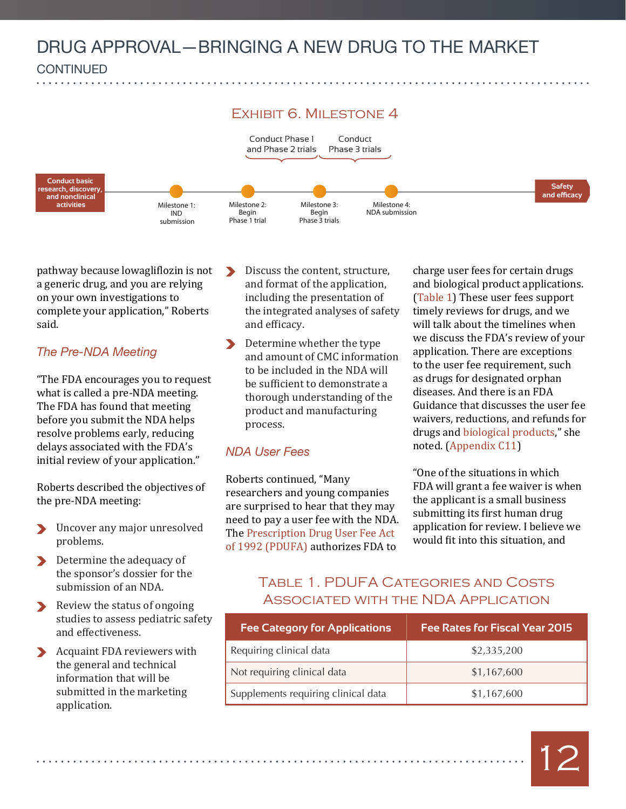

pathway because lowagliflozin is not a generic drug, and you are relying on your own investigations to complete your application," Roberts said.

#### *The Pre-NDA Meeting*

"The FDA encourages you to request what is called a pre-NDA meeting. The FDA has found that meeting before you submit the NDA helps resolve problems early, reducing delays associated with the FDA's initial review of your application."

Roberts described the objectives of the pre-NDA meeting:

- Uncover any major unresolved problems.
- **Determine the adequacy of** the sponsor's dossier for the submission of an NDA.
- Review the status of ongoing studies to assess pediatric safety and effectiveness.
- Acquaint FDA reviewers with the general and technical information that will be submitted in the marketing application.
- $\blacktriangleright$ Discuss the content, structure, and format of the application, including the presentation of the integrated analyses of safety and efficacy.
- Determine whether the type and amount of CMC information to be included in the NDA will be sufficient to demonstrate a thorough understanding of the product and manufacturing process.

#### *NDA User Fees*

Roberts continued, "Many researchers and young companies are surprised to hear that they may need to pay a user fee with the NDA. The [Prescription Drug User Fee Act](http://www.fda.gov/ForIndustry/UserFees/PrescriptionDrugUserFee/)  [of 1992 \(PDUFA\)](http://www.fda.gov/ForIndustry/UserFees/PrescriptionDrugUserFee/) authorizes FDA to

charge user fees for certain drugs and biological product applications. (Table 1) These user fees support timely reviews for drugs, and we will talk about the timelines when we discuss the FDA's review of your application. There are exceptions to the user fee requirement, such as drugs for designated orphan diseases. And there is an FDA Guidance that discusses the user fee waivers, reductions, and refunds for drugs and [biological products,](#page-24-3)" she noted. [\(Appendix C11\)](#page-22-7)

"One of the situations in which FDA will grant a fee waiver is when the applicant is a small business submitting its first human drug application for review. I believe we would fit into this situation, and

#### Table 1. PDUFA Categories and Costs Associated with the NDA Application

| <b>Fee Category for Applications</b> | <b>Fee Rates for Fiscal Year 2015</b> |
|--------------------------------------|---------------------------------------|
| Requiring clinical data              | \$2,335,200                           |
| Not requiring clinical data          | \$1,167,600                           |
| Supplements requiring clinical data  | \$1,167,600                           |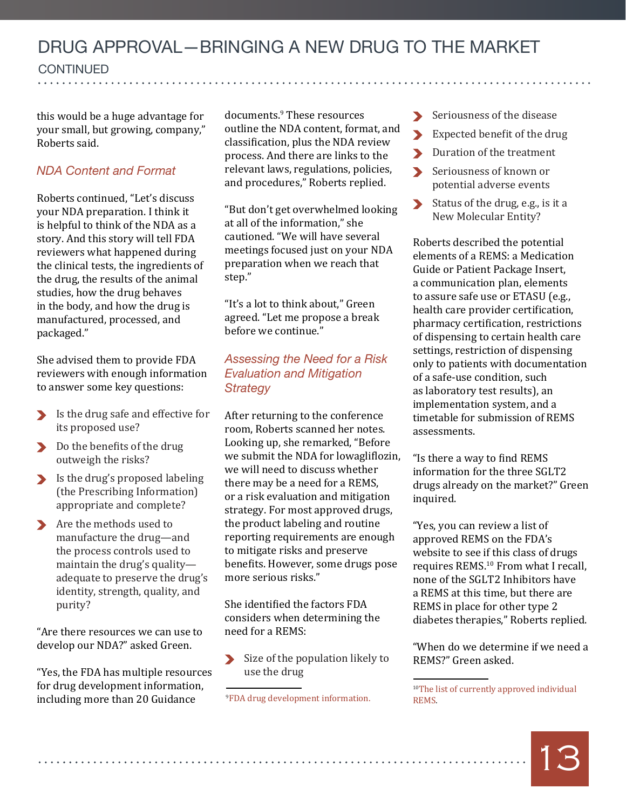**CONTINUED** continued

this would be a huge advantage for your small, but growing, company," Roberts said.

#### *NDA Content and Format*

Roberts continued, "Let's discuss your NDA preparation. I think it is helpful to think of the NDA as a story. And this story will tell FDA reviewers what happened during the clinical tests, the ingredients of the drug, the results of the animal studies, how the drug behaves in the body, and how the drug is manufactured, processed, and packaged."

She advised them to provide FDA reviewers with enough information to answer some key questions:

- Is the drug safe and effective for its proposed use?
- Do the benefits of the drug outweigh the risks?
- Is the drug's proposed labeling (the Prescribing Information) appropriate and complete?
- Are the methods used to manufacture the drug—and the process controls used to maintain the drug's quality adequate to preserve the drug's identity, strength, quality, and purity?

"Are there resources we can use to develop our NDA?" asked Green.

"Yes, the FDA has multiple resources for drug development information, including more than 20 Guidance

documents.9 These resources outline the NDA content, format, and classification, plus the NDA review process. And there are links to the relevant laws, regulations, policies, and procedures," Roberts replied.

"But don't get overwhelmed looking at all of the information," she cautioned. "We will have several meetings focused just on your NDA preparation when we reach that step."

"It's a lot to think about," Green agreed. "Let me propose a break before we continue."

#### *Assessing the Need for a Risk Evaluation and Mitigation Strategy*

After returning to the conference room, Roberts scanned her notes. Looking up, she remarked, "Before we submit the NDA for lowagliflozin, we will need to discuss whether there may be a need for a REMS, or a risk evaluation and mitigation strategy. For most approved drugs, the product labeling and routine reporting requirements are enough to mitigate risks and preserve benefits. However, some drugs pose more serious risks."

She identified the factors FDA considers when determining the need for a REMS:

Size of the population likely to use the drug

- Seriousness of the disease
- Expected benefit of the drug  $\blacktriangleright$
- Duration of the treatment
- Seriousness of known or  $\blacktriangleright$ potential adverse events
- $\blacktriangleright$ Status of the drug, e.g., is it a New Molecular Entity?

Roberts described the potential elements of a REMS: a Medication Guide or Patient Package Insert, a communication plan, elements to assure safe use or ETASU (e.g., health care provider certification, pharmacy certification, restrictions of dispensing to certain health care settings, restriction of dispensing only to patients with documentation of a safe-use condition, such as laboratory test results), an implementation system, and a timetable for submission of REMS assessments.

"Is there a way to find REMS information for the three SGLT2 drugs already on the market?" Green inquired.

"Yes, you can review a list of approved REMS on the FDA's website to see if this class of drugs requires REMS.10 From what I recall, none of the SGLT2 Inhibitors have a REMS at this time, but there are REMS in place for other type 2 diabetes therapies," Roberts replied.

"When do we determine if we need a REMS?" Green asked.

[<sup>10</sup>The list of currently approved individual](http://www.accessdata.fda.gov/scripts/cder/rems/index.cfm)  **REMS** 



<sup>9</sup> [FDA drug development information.](http://www.fda.gov/Drugs/DevelopmentApprovalProcess/HowDrugsareDevelopedandApproved/)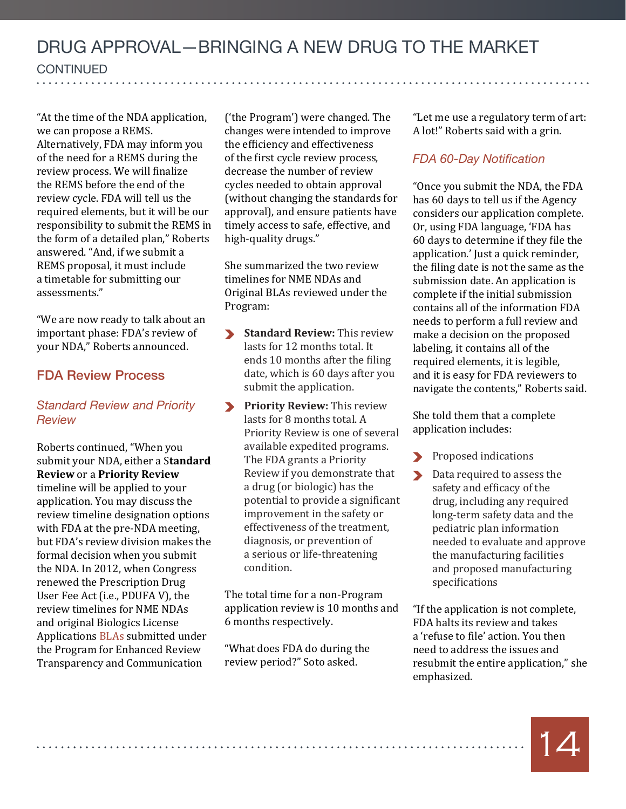"At the time of the NDA application, we can propose a REMS. Alternatively, FDA may inform you of the need for a REMS during the review process. We will finalize the REMS before the end of the review cycle. FDA will tell us the required elements, but it will be our responsibility to submit the REMS in the form of a detailed plan," Roberts answered. "And, if we submit a REMS proposal, it must include a timetable for submitting our assessments."

"We are now ready to talk about an important phase: FDA's review of your NDA," Roberts announced.

#### FDA Review Process

#### *Standard Review and Priority Review*

Roberts continued, "When you submit your NDA, either a S**tandard Review** or a **Priority Review**  timeline will be applied to your application. You may discuss the review timeline designation options with FDA at the pre-NDA meeting, but FDA's review division makes the formal decision when you submit the NDA. In 2012, when Congress renewed the Prescription Drug User Fee Act (i.e., PDUFA V), the review timelines for NME NDAs and original Biologics License Applications [BLAs](#page-24-3) submitted under the Program for Enhanced Review Transparency and Communication

('the Program') were changed. The changes were intended to improve the efficiency and effectiveness of the first cycle review process, decrease the number of review cycles needed to obtain approval (without changing the standards for approval), and ensure patients have timely access to safe, effective, and high-quality drugs."

She summarized the two review timelines for NME NDAs and Original BLAs reviewed under the Program:

- **Standard Review:** This review lasts for 12 months total. It ends 10 months after the filing date, which is 60 days after you submit the application.
- **Priority Review: This review** lasts for 8 months total. A Priority Review is one of several available expedited programs. The FDA grants a Priority Review if you demonstrate that a drug (or biologic) has the potential to provide a significant improvement in the safety or effectiveness of the treatment, diagnosis, or prevention of a serious or life-threatening condition.

The total time for a non-Program application review is 10 months and 6 months respectively.

"What does FDA do during the review period?" Soto asked.

"Let me use a regulatory term of art: A lot!" Roberts said with a grin.

#### *FDA 60-Day Notification*

"Once you submit the NDA, the FDA has 60 days to tell us if the Agency considers our application complete. Or, using FDA language, 'FDA has 60 days to determine if they file the application.' Just a quick reminder, the filing date is not the same as the submission date. An application is complete if the initial submission contains all of the information FDA needs to perform a full review and make a decision on the proposed labeling, it contains all of the required elements, it is legible, and it is easy for FDA reviewers to navigate the contents," Roberts said.

She told them that a complete application includes:

- Proposed indications
- Data required to assess the  $\blacktriangleright$ safety and efficacy of the drug, including any required long-term safety data and the pediatric plan information needed to evaluate and approve the manufacturing facilities and proposed manufacturing specifications

"If the application is not complete, FDA halts its review and takes a 'refuse to file' action. You then need to address the issues and resubmit the entire application," she emphasized.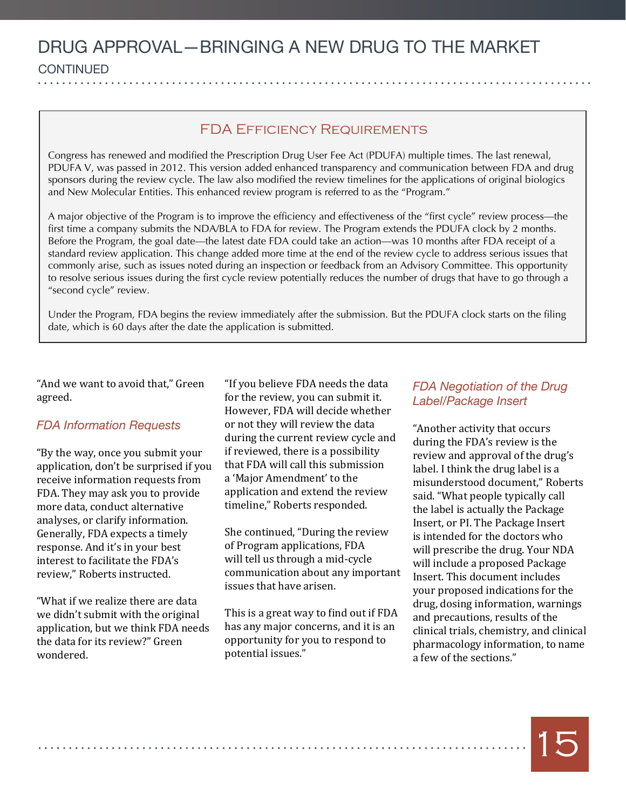#### FDA Efficiency Requirements

Congress has renewed and modified the Prescription Drug User Fee Act (PDUFA) multiple times. The last renewal, PDUFA V, was passed in 2012. This version added enhanced transparency and communication between FDA and drug sponsors during the review cycle. The law also modified the review timelines for the applications of original biologics and New Molecular Entities. This enhanced review program is referred to as the "Program."

A major objective of the Program is to improve the efficiency and effectiveness of the "first cycle" review process—the first time a company submits the NDA/BLA to FDA for review. The Program extends the PDUFA clock by 2 months. Before the Program, the goal date—the latest date FDA could take an action—was 10 months after FDA receipt of a standard review application. This change added more time at the end of the review cycle to address serious issues that commonly arise, such as issues noted during an inspection or feedback from an Advisory Committee. This opportunity to resolve serious issues during the first cycle review potentially reduces the number of drugs that have to go through a "second cycle" review.

Under the Program, FDA begins the review immediately after the submission. But the PDUFA clock starts on the filing date, which is 60 days after the date the application is submitted.

"And we want to avoid that," Green agreed.

#### *FDA Information Requests*

"By the way, once you submit your application, don't be surprised if you receive information requests from FDA. They may ask you to provide more data, conduct alternative analyses, or clarify information. Generally, FDA expects a timely response. And it's in your best interest to facilitate the FDA's review," Roberts instructed.

"What if we realize there are data we didn't submit with the original application, but we think FDA needs the data for its review?" Green wondered.

"If you believe FDA needs the data for the review, you can submit it. However, FDA will decide whether or not they will review the data during the current review cycle and if reviewed, there is a possibility that FDA will call this submission a 'Major Amendment' to the application and extend the review timeline," Roberts responded.

She continued, "During the review of Program applications, FDA will tell us through a mid-cycle communication about any important issues that have arisen.

This is a great way to find out if FDA has any major concerns, and it is an opportunity for you to respond to potential issues."

#### *FDA Negotiation of the Drug Label/Package Insert*

"Another activity that occurs during the FDA's review is the review and approval of the drug's label. I think the drug label is a misunderstood document," Roberts said. "What people typically call the label is actually the Package Insert, or PI. The Package Insert is intended for the doctors who will prescribe the drug. Your NDA will include a proposed Package Insert. This document includes your proposed indications for the drug, dosing information, warnings and precautions, results of the clinical trials, chemistry, and clinical pharmacology information, to name a few of the sections."

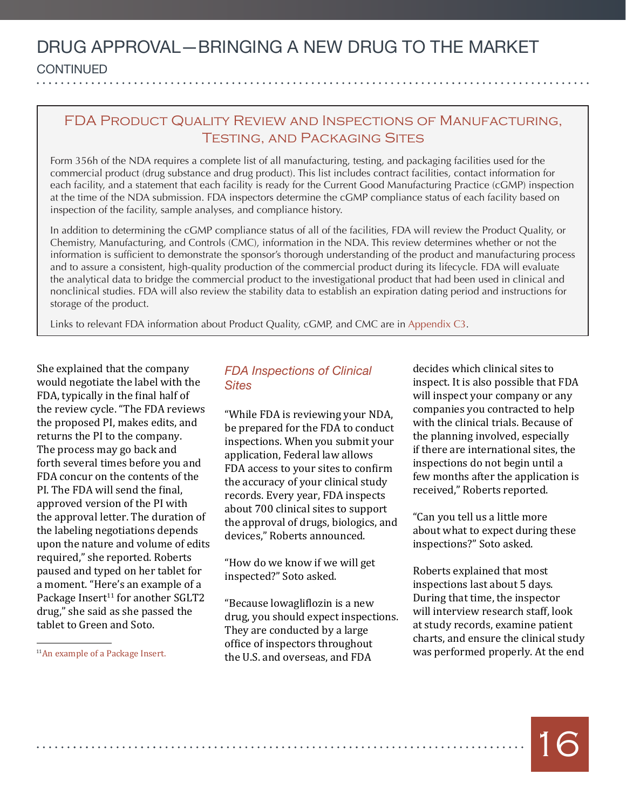#### FDA Product Quality Review and Inspections of Manufacturing, Testing, and Packaging Sites

Form 356h of the NDA requires a complete list of all manufacturing, testing, and packaging facilities used for the commercial product (drug substance and drug product). This list includes contract facilities, contact information for each facility, and a statement that each facility is ready for the Current Good Manufacturing Practice (cGMP) inspection at the time of the NDA submission. FDA inspectors determine the cGMP compliance status of each facility based on inspection of the facility, sample analyses, and compliance history.

In addition to determining the cGMP compliance status of all of the facilities, FDA will review the Product Quality, or Chemistry, Manufacturing, and Controls (CMC), information in the NDA. This review determines whether or not the information is sufficient to demonstrate the sponsor's thorough understanding of the product and manufacturing process and to assure a consistent, high-quality production of the commercial product during its lifecycle. FDA will evaluate the analytical data to bridge the commercial product to the investigational product that had been used in clinical and nonclinical studies. FDA will also review the stability data to establish an expiration dating period and instructions for storage of the product.

Links to relevant FDA information about Product Quality, cGMP, and CMC are in [Appendix C3](#page-21-3).

She explained that the company would negotiate the label with the FDA, typically in the final half of the review cycle. "The FDA reviews the proposed PI, makes edits, and returns the PI to the company. The process may go back and forth several times before you and FDA concur on the contents of the PI. The FDA will send the final, approved version of the PI with the approval letter. The duration of the labeling negotiations depends upon the nature and volume of edits required," she reported. Roberts paused and typed on her tablet for a moment. "Here's an example of a Package Insert $11$  for another SGLT2 drug," she said as she passed the tablet to Green and Soto.

*FDA Inspections of Clinical Sites*

"While FDA is reviewing your NDA, be prepared for the FDA to conduct inspections. When you submit your application, Federal law allows FDA access to your sites to confirm the accuracy of your clinical study records. Every year, FDA inspects about 700 clinical sites to support the approval of drugs, biologics, and devices," Roberts announced.

"How do we know if we will get inspected?" Soto asked.

"Because lowagliflozin is a new drug, you should expect inspections. They are conducted by a large office of inspectors throughout the U.S. and overseas, and FDA

decides which clinical sites to inspect. It is also possible that FDA will inspect your company or any companies you contracted to help with the clinical trials. Because of the planning involved, especially if there are international sites, the inspections do not begin until a few months after the application is received," Roberts reported.

"Can you tell us a little more about what to expect during these inspections?" Soto asked.

Roberts explained that most inspections last about 5 days. During that time, the inspector will interview research staff, look at study records, examine patient charts, and ensure the clinical study was performed properly. At the end

[11An example of a Package Insert.](http://www.accessdata.fda.gov/drugsatfda_docs/label/2014/204042s002lbl.pdf)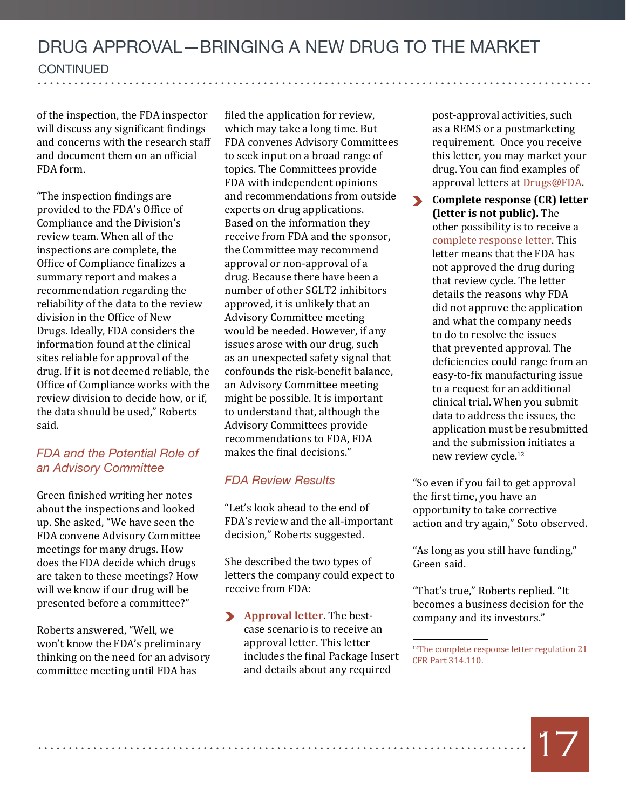of the inspection, the FDA inspector will discuss any significant findings and concerns with the research staff and document them on an official FDA form.

"The inspection findings are provided to the FDA's Office of Compliance and the Division's review team. When all of the inspections are complete, the Office of Compliance finalizes a summary report and makes a recommendation regarding the reliability of the data to the review division in the Office of New Drugs. Ideally, FDA considers the information found at the clinical sites reliable for approval of the drug. If it is not deemed reliable, the Office of Compliance works with the review division to decide how, or if, the data should be used," Roberts said.

#### *FDA and the Potential Role of an Advisory Committee*

Green finished writing her notes about the inspections and looked up. She asked, "We have seen the FDA convene Advisory Committee meetings for many drugs. How does the FDA decide which drugs are taken to these meetings? How will we know if our drug will be presented before a committee?"

Roberts answered, "Well, we won't know the FDA's preliminary thinking on the need for an advisory committee meeting until FDA has

filed the application for review, which may take a long time. But FDA convenes Advisory Committees to seek input on a broad range of topics. The Committees provide FDA with independent opinions and recommendations from outside experts on drug applications. Based on the information they receive from FDA and the sponsor, the Committee may recommend approval or non-approval of a drug. Because there have been a number of other SGLT2 inhibitors approved, it is unlikely that an Advisory Committee meeting would be needed. However, if any issues arose with our drug, such as an unexpected safety signal that confounds the risk-benefit balance, an Advisory Committee meeting might be possible. It is important to understand that, although the Advisory Committees provide recommendations to FDA, FDA makes the final decisions."

#### *FDA Review Results*

"Let's look ahead to the end of FDA's review and the all-important decision," Roberts suggested.

She described the two types of letters the company could expect to receive from FDA:

**[Approval letter](#page-24-4).** The bestcase scenario is to receive an approval letter. This letter includes the final Package Insert and details about any required

post-approval activities, such as a REMS or a postmarketing requirement. Once you receive this letter, you may market your drug. You can find examples of approval letters at [Drugs@FDA.](http://www.accessdata.fda.gov/scripts/cder/drugsatfda/)

 $\blacktriangleright$ **Complete response (CR) letter (letter is not public).** The other possibility is to receive a [complete response letter.](#page-25-3) This letter means that the FDA has not approved the drug during that review cycle. The letter details the reasons why FDA did not approve the application and what the company needs to do to resolve the issues that prevented approval. The deficiencies could range from an easy-to-fix manufacturing issue to a request for an additional clinical trial. When you submit data to address the issues, the application must be resubmitted and the submission initiates a new review cycle.<sup>12</sup>

"So even if you fail to get approval the first time, you have an opportunity to take corrective action and try again," Soto observed.

"As long as you still have funding," Green said.

"That's true," Roberts replied. "It becomes a business decision for the company and its investors."

<sup>12</sup>The complete response letter regulation 21 [CFR Part 314.110.](http://www.accessdata.fda.gov/scripts/cdrh/cfdocs/cfcfr/CFRSearch.cfm?fr=314.110)

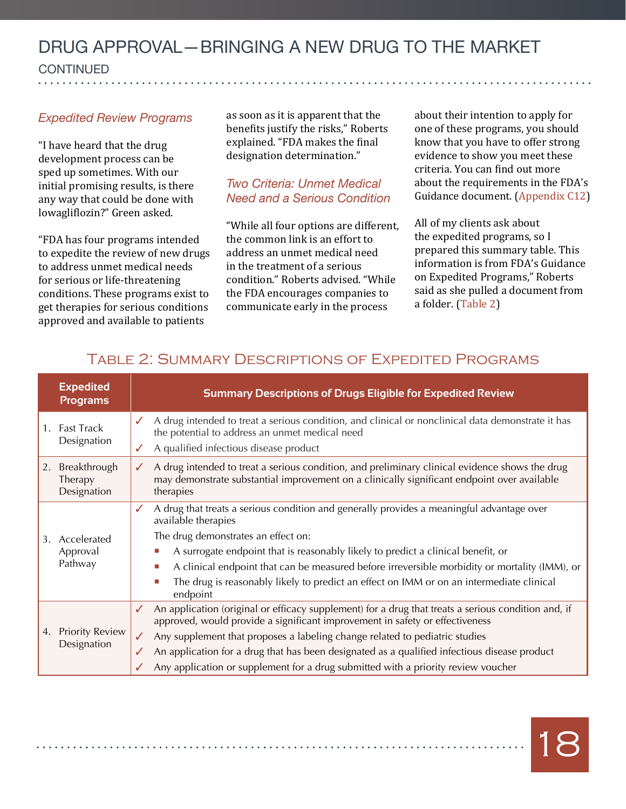#### *Expedited Review Programs*

"I have heard that the drug development process can be sped up sometimes. With our initial promising results, is there any way that could be done with lowagliflozin?" Green asked.

"FDA has four programs intended to expedite the review of new drugs to address unmet medical needs for serious or life-threatening conditions. These programs exist to get therapies for serious conditions approved and available to patients

as soon as it is apparent that the benefits justify the risks," Roberts explained. "FDA makes the final designation determination."

#### *Two Criteria: Unmet Medical Need and a Serious Condition*

"While all four options are different, the common link is an effort to address an unmet medical need in the treatment of a serious condition." Roberts advised. "While the FDA encourages companies to communicate early in the process

about their intention to apply for one of these programs, you should know that you have to offer strong evidence to show you meet these criteria. You can find out more about the requirements in the FDA's Guidance document. ([Appendix C12\)](#page-22-8)

All of my clients ask about the expedited programs, so I prepared this summary table. This information is from FDA's Guidance on Expedited Programs," Roberts said as she pulled a document from a folder. (Table 2)

|    | <b>Expedited</b><br><b>Programs</b>    | <b>Summary Descriptions of Drugs Eligible for Expedited Review</b>                                                                                                                                                                                                                                                                                                                                                                                                                            |
|----|----------------------------------------|-----------------------------------------------------------------------------------------------------------------------------------------------------------------------------------------------------------------------------------------------------------------------------------------------------------------------------------------------------------------------------------------------------------------------------------------------------------------------------------------------|
|    | 1. Fast Track<br>Designation           | A drug intended to treat a serious condition, and clinical or nonclinical data demonstrate it has<br>the potential to address an unmet medical need<br>A qualified infectious disease product                                                                                                                                                                                                                                                                                                 |
| 2. | Breakthrough<br>Therapy<br>Designation | A drug intended to treat a serious condition, and preliminary clinical evidence shows the drug<br>✓<br>may demonstrate substantial improvement on a clinically significant endpoint over available<br>therapies                                                                                                                                                                                                                                                                               |
|    | 3. Accelerated<br>Approval<br>Pathway  | A drug that treats a serious condition and generally provides a meaningful advantage over<br>available therapies<br>The drug demonstrates an effect on:<br>A surrogate endpoint that is reasonably likely to predict a clinical benefit, or<br>L.<br>A clinical endpoint that can be measured before irreversible morbidity or mortality (IMM), or<br>Ш<br>The drug is reasonably likely to predict an effect on IMM or on an intermediate clinical<br>П                                      |
|    | 4. Priority Review<br>Designation      | endpoint<br>An application (original or efficacy supplement) for a drug that treats a serious condition and, if<br>✓<br>approved, would provide a significant improvement in safety or effectiveness<br>Any supplement that proposes a labeling change related to pediatric studies<br>$\checkmark$<br>An application for a drug that has been designated as a qualified infectious disease product<br>✓<br>Any application or supplement for a drug submitted with a priority review voucher |

#### Table 2: Summary Descriptions of Expedited Programs

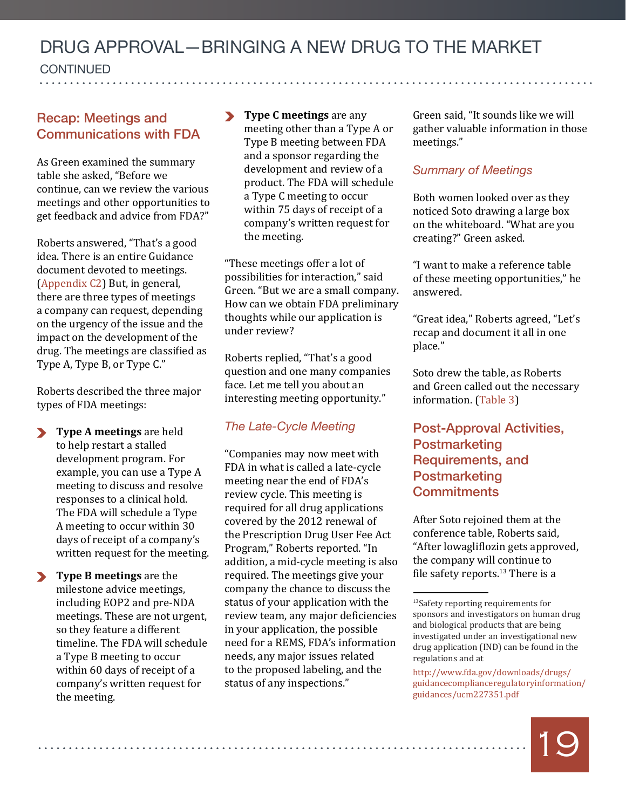#### DRUG APPROVAL—BRINGING A NEW DRUG TO THE MARKET **CONTINUED**  $\overline{a}$ . . . . . . . . . . . . . . . . .

#### Recap: Meetings and Communications with FDA

As Green examined the summary table she asked, "Before we continue, can we review the various meetings and other opportunities to get feedback and advice from FDA?"

Roberts answered, "That's a good idea. There is an entire Guidance document devoted to meetings. [\(Appendix C2\)](#page-21-2) But, in general, there are three types of meetings a company can request, depending on the urgency of the issue and the impact on the development of the drug. The meetings are classified as Type A, Type B, or Type C."

Roberts described the three major types of FDA meetings:

- **Type A meetings** are held to help restart a stalled development program. For example, you can use a Type A meeting to discuss and resolve responses to a clinical hold. The FDA will schedule a Type A meeting to occur within 30 days of receipt of a company's written request for the meeting.
- **Type B meetings** are the milestone advice meetings, including EOP2 and pre-NDA meetings. These are not urgent, so they feature a different timeline. The FDA will schedule a Type B meeting to occur within 60 days of receipt of a company's written request for the meeting.

**Type C meetings** are any meeting other than a Type A or Type B meeting between FDA and a sponsor regarding the development and review of a product. The FDA will schedule a Type C meeting to occur within 75 days of receipt of a company's written request for the meeting.

"These meetings offer a lot of possibilities for interaction," said Green. "But we are a small company. How can we obtain FDA preliminary thoughts while our application is under review?

Roberts replied, "That's a good question and one many companies face. Let me tell you about an interesting meeting opportunity."

#### *The Late-Cycle Meeting*

"Companies may now meet with FDA in what is called a late-cycle meeting near the end of FDA's review cycle. This meeting is required for all drug applications covered by the 2012 renewal of the Prescription Drug User Fee Act Program," Roberts reported. "In addition, a mid-cycle meeting is also required. The meetings give your company the chance to discuss the status of your application with the review team, any major deficiencies in your application, the possible need for a REMS, FDA's information needs, any major issues related to the proposed labeling, and the status of any inspections."

Green said, "It sounds like we will gather valuable information in those meetings."

#### *Summary of Meetings*

Both women looked over as they noticed Soto drawing a large box on the whiteboard. "What are you creating?" Green asked.

"I want to make a reference table of these meeting opportunities," he answered.

"Great idea," Roberts agreed, "Let's recap and document it all in one place."

Soto drew the table, as Roberts and Green called out the necessary information. (Table 3)

#### Post-Approval Activities, **Postmarketing** Requirements, and **Postmarketing Commitments**

After Soto rejoined them at the conference table, Roberts said, "After lowagliflozin gets approved, the company will continue to file safety reports.<sup>13</sup> There is a

[http://www.fda.gov/downloads/drugs/](http://www.fda.gov/downloads/drugs/guidancecomplianceregulatoryinformation/%20guidances/ucm227351.pdf%20) [guidancecomplianceregulatoryinformation/](http://www.fda.gov/downloads/drugs/guidancecomplianceregulatoryinformation/%20guidances/ucm227351.pdf%20) [guidances/ucm227351.pdf](http://www.fda.gov/downloads/drugs/guidancecomplianceregulatoryinformation/%20guidances/ucm227351.pdf%20) 



[<sup>13</sup>Safety reporting requirements for](http://www.fda.gov/downloads/drugs/guidancecomplianceregulatoryinformation/%20guidances/ucm227351.pdf%20)  [sponsors and investigators on human drug](http://www.fda.gov/downloads/drugs/guidancecomplianceregulatoryinformation/%20guidances/ucm227351.pdf%20)  [and biological products that are being](http://www.fda.gov/downloads/drugs/guidancecomplianceregulatoryinformation/%20guidances/ucm227351.pdf%20)  [investigated under an investigational new](http://www.fda.gov/downloads/drugs/guidancecomplianceregulatoryinformation/%20guidances/ucm227351.pdf%20)  [drug application \(IND\) can be found in the](http://www.fda.gov/downloads/drugs/guidancecomplianceregulatoryinformation/%20guidances/ucm227351.pdf%20)  [regulations and at](http://www.fda.gov/downloads/drugs/guidancecomplianceregulatoryinformation/%20guidances/ucm227351.pdf%20)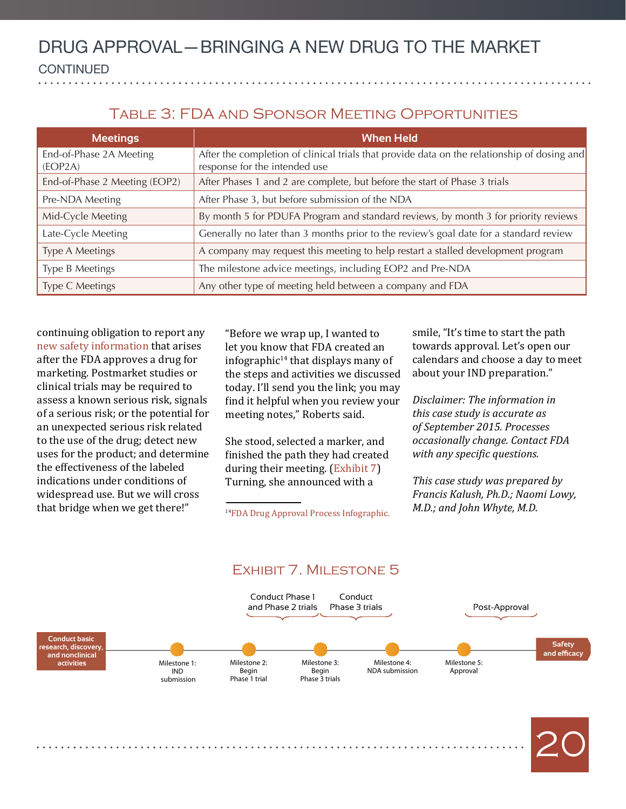#### Table 3: FDA and Sponsor Meeting Opportunities

| <b>Meetings</b>                  | <b>When Held</b>                                                                                                             |  |
|----------------------------------|------------------------------------------------------------------------------------------------------------------------------|--|
| End-of-Phase 2A Meeting<br>EOP2A | After the completion of clinical trials that provide data on the relationship of dosing and<br>response for the intended use |  |
| End-of-Phase 2 Meeting (EOP2)    | After Phases 1 and 2 are complete, but before the start of Phase 3 trials                                                    |  |
| Pre-NDA Meeting                  | After Phase 3, but before submission of the NDA                                                                              |  |
| Mid-Cycle Meeting                | By month 5 for PDUFA Program and standard reviews, by month 3 for priority reviews                                           |  |
| Late-Cycle Meeting               | Generally no later than 3 months prior to the review's goal date for a standard review                                       |  |
| Type A Meetings                  | A company may request this meeting to help restart a stalled development program                                             |  |
| Type B Meetings                  | The milestone advice meetings, including EOP2 and Pre-NDA                                                                    |  |
| Type C Meetings                  | Any other type of meeting held between a company and FDA                                                                     |  |

continuing obligation to report any new safety information that arises after the FDA approves a drug for marketing. Postmarket studies or clinical trials may be required to assess a known serious risk, signals of a serious risk; or the potential for an unexpected serious risk related to the use of the drug; detect new uses for the product; and determine the effectiveness of the labeled indications under conditions of widespread use. But we will cross that bridge when we get there!"

"Before we wrap up, I wanted to let you know that FDA created an infographic $14$  that displays many of the steps and activities we discussed today. I'll send you the link; you may find it helpful when you review your meeting notes," Roberts said.

She stood, selected a marker, and finished the path they had created during their meeting. (Exhibit 7) Turning, she announced with a

[14FDA Drug Approval Process Infographic.](http://www.fda.gov/Drugs/ResourcesForYou/Consumers/ucm295473.htm)

smile, "It's time to start the path towards approval. Let's open our calendars and choose a day to meet about your IND preparation."

*Disclaimer: The information in this case study is accurate as of September 2015. Processes occasionally change. Contact FDA with any specific questions.*

*This case study was prepared by Francis Kalush, Ph.D.; Naomi Lowy, M.D.; and John Whyte, M.D.*



#### Exhibit 7. Milestone 5

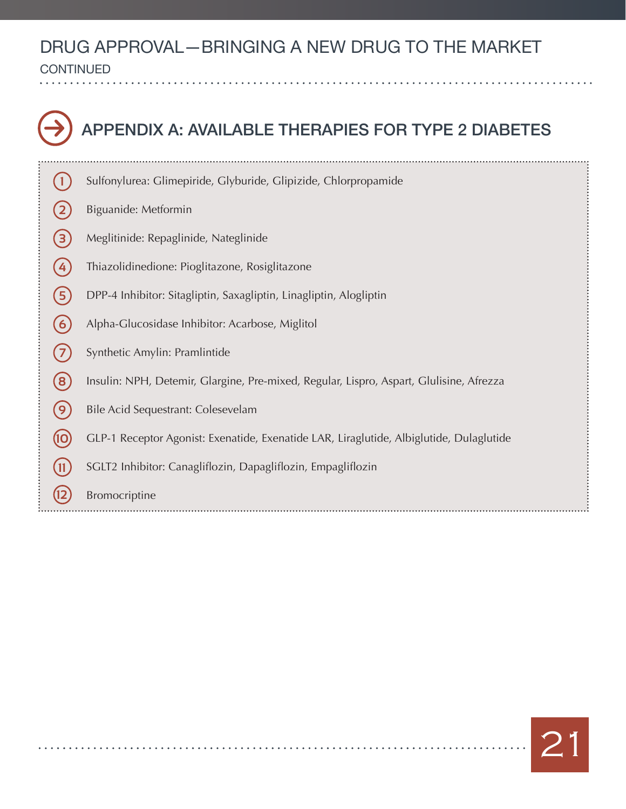CONTINUED  $\overline{a}$ 

<span id="page-20-0"></span>. . . . . . . .

 $\sim$ 

|   | APPENDIX A: AVAILABLE THERAPIES FOR TYPE 2 DIABETES                                     |
|---|-----------------------------------------------------------------------------------------|
|   | Sulfonylurea: Glimepiride, Glyburide, Glipizide, Chlorpropamide                         |
|   | Biguanide: Metformin                                                                    |
|   | Meglitinide: Repaglinide, Nateglinide                                                   |
|   | Thiazolidinedione: Pioglitazone, Rosiglitazone                                          |
|   | DPP-4 Inhibitor: Sitagliptin, Saxagliptin, Linagliptin, Alogliptin                      |
| 6 | Alpha-Glucosidase Inhibitor: Acarbose, Miglitol                                         |
|   | Synthetic Amylin: Pramlintide                                                           |
| 8 | Insulin: NPH, Detemir, Glargine, Pre-mixed, Regular, Lispro, Aspart, Glulisine, Afrezza |
|   | Bile Acid Sequestrant: Colesevelam                                                      |
|   | GLP-1 Receptor Agonist: Exenatide, Exenatide LAR, Liraglutide, Albiglutide, Dulaglutide |
|   | SGLT2 Inhibitor: Canagliflozin, Dapagliflozin, Empagliflozin                            |
|   | Bromocriptine                                                                           |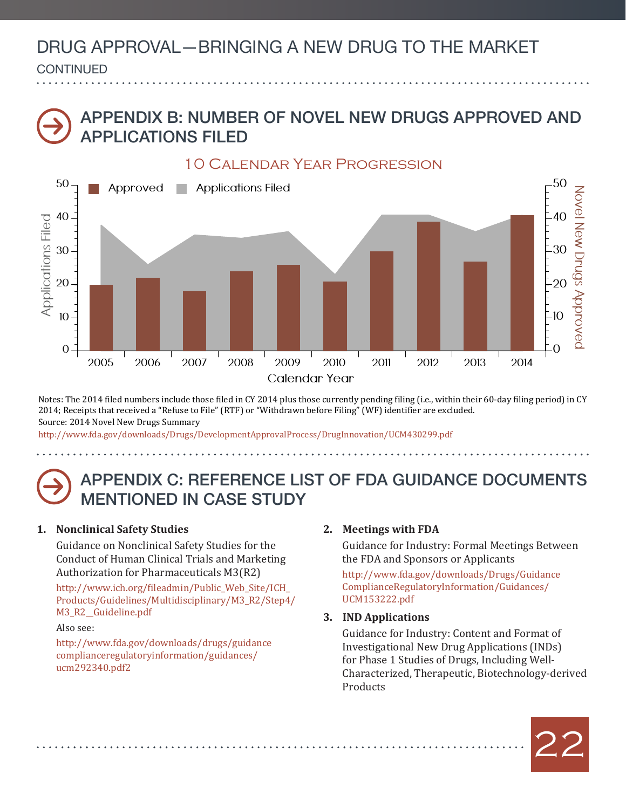#### DRUG APPROVAL—BRINGING A NEW DRUG TO THE MARKET  $\overline{a}$ **CONTINUED**

### <span id="page-21-0"></span>Appendix b: Number of Novel New Drugs Approved and Applications Filed



Notes: The 2014 filed numbers include those filed in CY 2014 plus those currently pending filing (i.e., within their 60-day filing period) in CY 2014; Receipts that received a "Refuse to File" (RTF) or "Withdrawn before Filing" (WF) identifier are excluded. Source: 2014 Novel New Drugs Summary

http://www.fda.gov/downloads/Drugs/DevelopmentApprovalProcess/DrugInnovation/UCM430299.pdf

### <span id="page-21-4"></span>Appendix C: REFERENCE LIST OF FDA GUIDANCE DOCUMENTS MENTIONED IN CASE STUDY

#### <span id="page-21-1"></span>**1. Nonclinical Safety Studies**

Guidance on Nonclinical Safety Studies for the Conduct of Human Clinical Trials and Marketing Authorization for Pharmaceuticals M3(R2)

[http://www.ich.org/fileadmin/Public\\_Web\\_Site/ICH\\_](http://www.ich.org/fileadmin/Public_Web_Site/ICH_Products/Guidelines/Multidisciplinary/M3_R2/Step4/M3_R2__Guideline.pdf) [Products/Guidelines/Multidisciplinary/M3\\_R2/Step4/](http://www.ich.org/fileadmin/Public_Web_Site/ICH_Products/Guidelines/Multidisciplinary/M3_R2/Step4/M3_R2__Guideline.pdf) [M3\\_R2\\_\\_Guideline.pdf](http://www.ich.org/fileadmin/Public_Web_Site/ICH_Products/Guidelines/Multidisciplinary/M3_R2/Step4/M3_R2__Guideline.pdf)

#### Also see:

[http://www.fda.gov/downloads/drugs/guidance](http://www.fda.gov/downloads/drugs/guidancecomplianceregulatoryinformation/guidances/ucm292340.pdf2) complianceregulatoryinformation/guidances/ ucm292340.pdf2

#### <span id="page-21-2"></span>**2. Meetings with FDA**

Guidance for Industry: Formal Meetings Between the FDA and Sponsors or Applicants

[http://www.fda.gov/downloads/Drugs/Guidance](http://www.fda.gov/downloads/Drugs/GuidanceComplianceRegulatoryInformation/Guidances/UCM153222.pdf) [ComplianceRegulatoryInformation/Guidances/](http://www.fda.gov/downloads/Drugs/GuidanceComplianceRegulatoryInformation/Guidances/UCM153222.pdf) [UCM153222.pdf](http://www.fda.gov/downloads/Drugs/GuidanceComplianceRegulatoryInformation/Guidances/UCM153222.pdf)

#### <span id="page-21-3"></span>**3. IND Applications**

Guidance for Industry: Content and Format of Investigational New Drug Applications (INDs) for Phase 1 Studies of Drugs, Including Well-Characterized, Therapeutic, Biotechnology-derived Products

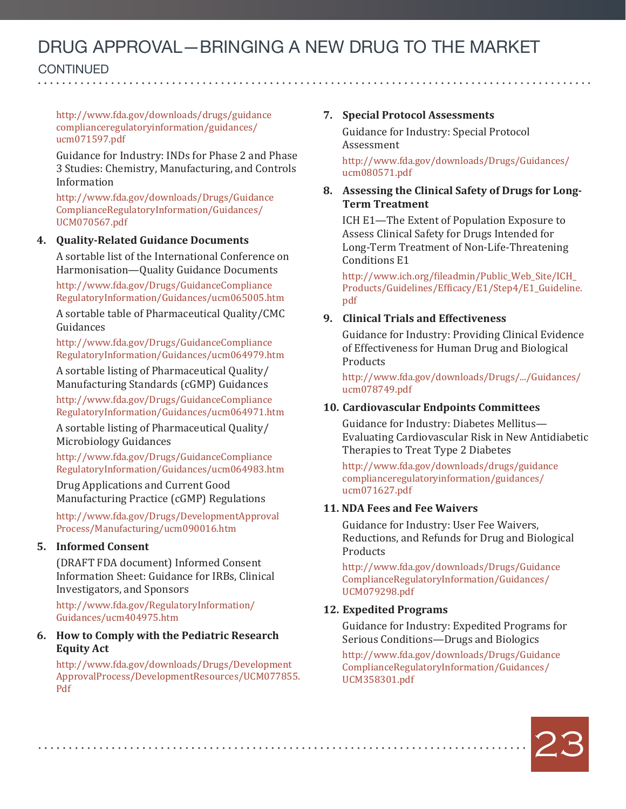**CONTINUED** 

continued

[http://www.fda.gov/downloads/drugs/guidance](http://www.fda.gov/downloads/drugs/guidancecomplianceregulatoryinformation/guidances/ucm071597.pdf)  [complianceregulatoryinformation/guidances/](http://www.fda.gov/downloads/drugs/guidancecomplianceregulatoryinformation/guidances/ucm071597.pdf) [ucm071597.pdf](http://www.fda.gov/downloads/drugs/guidancecomplianceregulatoryinformation/guidances/ucm071597.pdf)

Guidance for Industry: INDs for Phase 2 and Phase 3 Studies: Chemistry, Manufacturing, and Controls Information

[http://www.fda.gov/downloads/Drugs/Guidance](http://www.fda.gov/downloads/Drugs/GuidanceComplianceRegulatoryInformation/Guidances/UCM070567.pdf)  [ComplianceRegulatoryInformation/Guidances/](http://www.fda.gov/downloads/Drugs/GuidanceComplianceRegulatoryInformation/Guidances/UCM070567.pdf) [UCM070567.pdf](http://www.fda.gov/downloads/Drugs/GuidanceComplianceRegulatoryInformation/Guidances/UCM070567.pdf)

#### <span id="page-22-0"></span>**4. Quality-Related Guidance Documents**

A sortable list of the International Conference on Harmonisation—Quality Guidance Documents

[http://www.fda.gov/Drugs/GuidanceCompliance](http://www.fda.gov/Drugs/GuidanceComplianceRegulatoryInformation/Guidances/ucm065005.htm) [RegulatoryInformation/Guidances/ucm065005.htm](http://www.fda.gov/Drugs/GuidanceComplianceRegulatoryInformation/Guidances/ucm065005.htm)

A sortable table of Pharmaceutical Quality/CMC Guidances

[http://www.fda.gov/Drugs/GuidanceCompliance](http://www.fda.gov/Drugs/GuidanceComplianceRegulatoryInformation/Guidances/ucm064979.htm) [RegulatoryInformation/Guidances/ucm064979.htm](http://www.fda.gov/Drugs/GuidanceComplianceRegulatoryInformation/Guidances/ucm064979.htm)

A sortable listing of Pharmaceutical Quality/ Manufacturing Standards (cGMP) Guidances

[http://www.fda.gov/Drugs/GuidanceCompliance](http://www.fda.gov/Drugs/GuidanceComplianceRegulatoryInformation/Guidances/ucm064971.htm) [RegulatoryInformation/Guidances/ucm064971.htm](http://www.fda.gov/Drugs/GuidanceComplianceRegulatoryInformation/Guidances/ucm064971.htm)

A sortable listing of Pharmaceutical Quality/ Microbiology Guidances

[http://www.fda.gov/Drugs/GuidanceCompliance](http://www.fda.gov/Drugs/GuidanceComplianceRegulatoryInformation/Guidances/ucm064983.htm) [RegulatoryInformation/Guidances/ucm064983.htm](http://www.fda.gov/Drugs/GuidanceComplianceRegulatoryInformation/Guidances/ucm064983.htm)

Drug Applications and Current Good Manufacturing Practice (cGMP) Regulations

[http://www.fda.gov/Drugs/DevelopmentApproval](http://www.fda.gov/Drugs/DevelopmentApprovalProcess/Manufacturing/ucm090016.htm) [Process/Manufacturing/ucm090016.htm](http://www.fda.gov/Drugs/DevelopmentApprovalProcess/Manufacturing/ucm090016.htm)

#### <span id="page-22-1"></span>**5. Informed Consent**

(DRAFT FDA document) Informed Consent Information Sheet: Guidance for IRBs, Clinical Investigators, and Sponsors

[http://www.fda.gov/RegulatoryInformation/](http://www.fda.gov/RegulatoryInformation/Guidances/ucm404975.htm) [Guidances/ucm404975.htm](http://www.fda.gov/RegulatoryInformation/Guidances/ucm404975.htm)

#### <span id="page-22-2"></span>**6. [How to Comply with the Pediatric Research](6.  How to Comply with the Pediatric Research Equity Act ) [Equity Act](6.  How to Comply with the Pediatric Research Equity Act )**

[http://www.fda.gov/downloads/Drugs/Development](http://www.fda.gov/downloads/Drugs/DevelopmentApprovalProcess/DevelopmentResources/UCM077855.Pdf) [ApprovalProcess/DevelopmentResources/UCM077855.](http://www.fda.gov/downloads/Drugs/DevelopmentApprovalProcess/DevelopmentResources/UCM077855.Pdf) [Pdf](http://www.fda.gov/downloads/Drugs/DevelopmentApprovalProcess/DevelopmentResources/UCM077855.Pdf)

#### <span id="page-22-3"></span>**7. Special Protocol Assessments**

Guidance for Industry: Special Protocol Assessment

[http://www.fda.gov/downloads/Drugs/Guidances/](http://www.fda.gov/downloads/Drugs/Guidances/ucm080571.pdf) [ucm080571.pdf](http://www.fda.gov/downloads/Drugs/Guidances/ucm080571.pdf)

#### <span id="page-22-4"></span>**8. Assessing the Clinical Safety of Drugs for Long-Term Treatment**

ICH E1—The Extent of Population Exposure to Assess Clinical Safety for Drugs Intended for Long-Term Treatment of Non-Life-Threatening Conditions E1

[http://www.ich.org/fileadmin/Public\\_Web\\_Site/ICH\\_](http://www.ich.org/fileadmin/Public_Web_Site/ICH_Products/Guidelines/Efficacy/E1/Step4/E1_Guideline.pdf) [Products/Guidelines/Efficacy/E1/Step4/E1\\_Guideline.](http://www.ich.org/fileadmin/Public_Web_Site/ICH_Products/Guidelines/Efficacy/E1/Step4/E1_Guideline.pdf) [pdf](http://www.ich.org/fileadmin/Public_Web_Site/ICH_Products/Guidelines/Efficacy/E1/Step4/E1_Guideline.pdf)

#### <span id="page-22-5"></span>**9. Clinical Trials and Effectiveness**

Guidance for Industry: Providing Clinical Evidence of Effectiveness for Human Drug and Biological **Products** 

[http://www.fda.gov/downloads/Drugs/.../Guidances/](http://www.fda.gov/downloads/Drugs/.../Guidances/ucm078749.pdf) [ucm078749.pdf](http://www.fda.gov/downloads/Drugs/.../Guidances/ucm078749.pdf)

#### <span id="page-22-6"></span>**10. Cardiovascular Endpoints Committees**

Guidance for Industry: Diabetes Mellitus— Evaluating Cardiovascular Risk in New Antidiabetic Therapies to Treat Type 2 Diabetes

[http://www.fda.gov/downloads/drugs/guidance](http://www.fda.gov/downloads/drugs/guidancecomplianceregulatoryinformation/guidances/ucm071627.pdf) [complianceregulatoryinformation/guidances/](http://www.fda.gov/downloads/drugs/guidancecomplianceregulatoryinformation/guidances/ucm071627.pdf) [ucm071627.pdf](http://www.fda.gov/downloads/drugs/guidancecomplianceregulatoryinformation/guidances/ucm071627.pdf)

#### <span id="page-22-7"></span>**11. NDA Fees and Fee Waivers**

Guidance for Industry: User Fee Waivers, Reductions, and Refunds for Drug and Biological Products

[http://www.fda.gov/downloads/Drugs/Guidance](http://www.fda.gov/downloads/Drugs/GuidanceComplianceRegulatoryInformation/Guidances/UCM079298.pdf) [ComplianceRegulatoryInformation/Guidances/](http://www.fda.gov/downloads/Drugs/GuidanceComplianceRegulatoryInformation/Guidances/UCM079298.pdf) [UCM079298.pdf](http://www.fda.gov/downloads/Drugs/GuidanceComplianceRegulatoryInformation/Guidances/UCM079298.pdf)

#### <span id="page-22-8"></span>**12. Expedited Programs**

Guidance for Industry: Expedited Programs for Serious Conditions—Drugs and Biologics

[http://www.fda.gov/downloads/Drugs/Guidance](http://www.fda.gov/downloads/Drugs/GuidanceComplianceRegulatoryInformation/Guidances/UCM358301.pdf) [ComplianceRegulatoryInformation/Guidances/](http://www.fda.gov/downloads/Drugs/GuidanceComplianceRegulatoryInformation/Guidances/UCM358301.pdf) [UCM358301.pdf](http://www.fda.gov/downloads/Drugs/GuidanceComplianceRegulatoryInformation/Guidances/UCM358301.pdf)

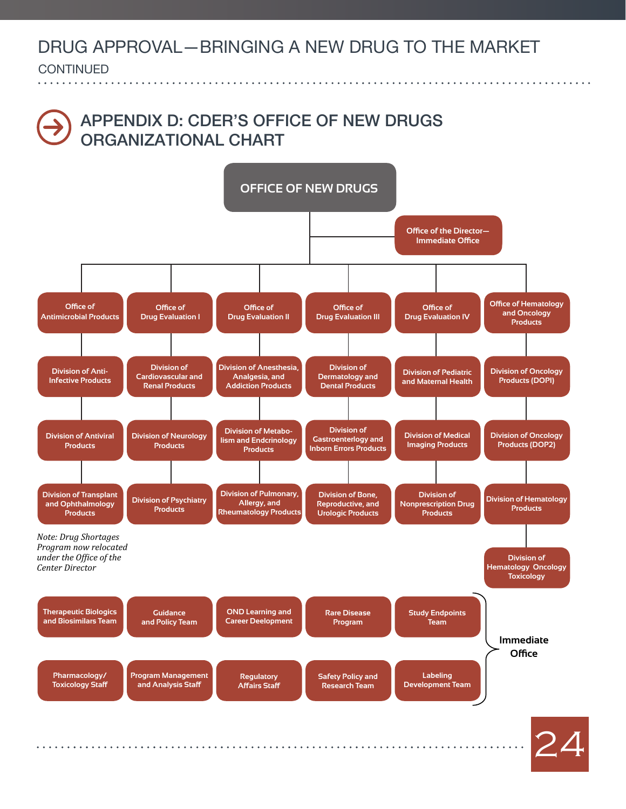**CONTINUED** continued

### Appendix D: CDER'S OFFICE OF NEW DRUGS ORGANIZATIONAL CHART

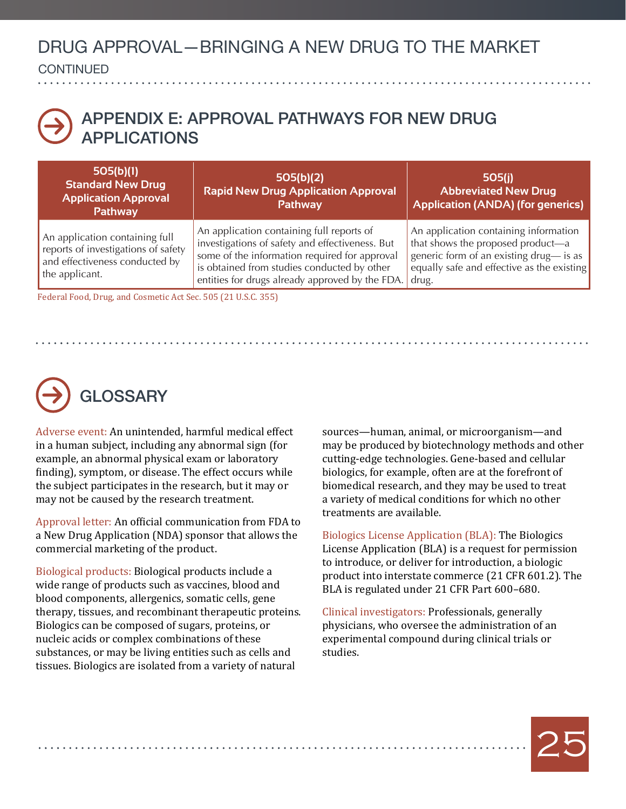**CONTINUED** continued

### <span id="page-24-2"></span>Appendix E: APPROVAL PATHWAYS FOR NEW DRUG **APPI ICATIONS**

| 505(b)(1)<br><b>Standard New Drug</b><br><b>Application Approval</b><br><b>Pathway</b>                                    | 505(b)(2)<br><b>Rapid New Drug Application Approval</b><br><b>Pathway</b>                                                                                                                                                                       | 505(i)<br><b>Abbreviated New Drug</b><br><b>Application (ANDA) (for generics)</b>                                                                                            |
|---------------------------------------------------------------------------------------------------------------------------|-------------------------------------------------------------------------------------------------------------------------------------------------------------------------------------------------------------------------------------------------|------------------------------------------------------------------------------------------------------------------------------------------------------------------------------|
| An application containing full<br>reports of investigations of safety<br>and effectiveness conducted by<br>the applicant. | An application containing full reports of<br>investigations of safety and effectiveness. But<br>some of the information required for approval<br>is obtained from studies conducted by other<br>entities for drugs already approved by the FDA. | An application containing information<br>that shows the proposed product-a<br>generic form of an existing drug— is as<br>equally safe and effective as the existing<br>drug. |

[Federal Food, Drug, and Cosmetic Act Sec. 505 \(21 U.S.C. 355\)](http://www.gpo.gov/fdsys/pkg/USCODE-2010-title21/pdf/USCODE-2010-title21-chap9-subchapV-partA-sec355.pdf) 

# **GLOSSARY**

<span id="page-24-1"></span>Adverse event: An unintended, harmful medical effect in a human subject, including any abnormal sign (for example, an abnormal physical exam or laboratory finding), symptom, or disease. The effect occurs while the subject participates in the research, but it may or may not be caused by the research treatment.

<span id="page-24-4"></span>Approval letter: An official communication from FDA to a New Drug Application (NDA) sponsor that allows the commercial marketing of the product.

<span id="page-24-3"></span>Biological products: Biological products include a wide range of products such as vaccines, blood and blood components, allergenics, somatic cells, gene therapy, tissues, and recombinant therapeutic proteins. Biologics can be composed of sugars, proteins, or nucleic acids or complex combinations of these substances, or may be living entities such as cells and tissues. Biologics are isolated from a variety of natural

sources—human, animal, or microorganism—and may be produced by biotechnology methods and other cutting-edge technologies. Gene-based and cellular biologics, for example, often are at the forefront of biomedical research, and they may be used to treat a variety of medical conditions for which no other treatments are available.

Biologics License Application (BLA): The Biologics License Application (BLA) is a request for permission to introduce, or deliver for introduction, a biologic product into interstate commerce (21 CFR 601.2). The BLA is regulated under 21 CFR Part 600–680.

<span id="page-24-0"></span>Clinical investigators: Professionals, generally physicians, who oversee the administration of an experimental compound during clinical trials or studies.

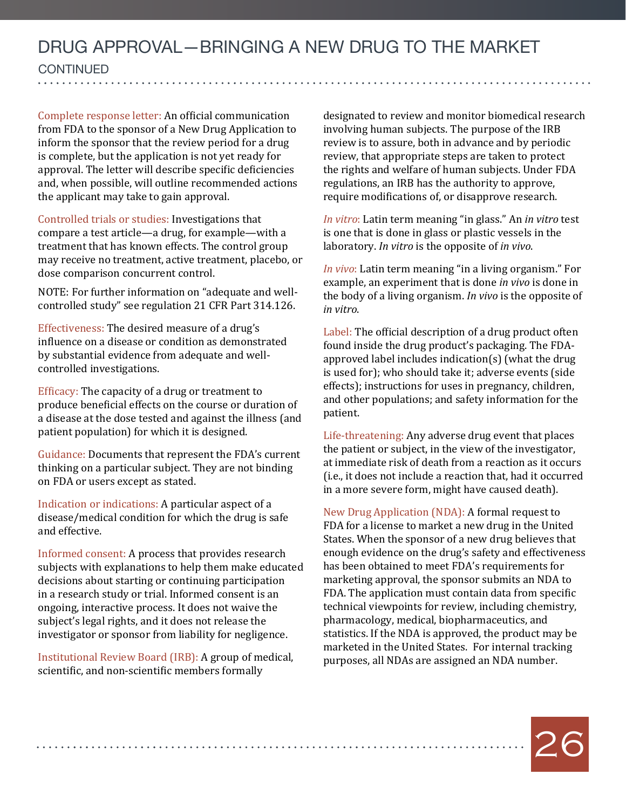#### DRUG APPROVAL—BRINGING A NEW DRUG TO THE MARKET **CONTINUED** continued . . . . . . . . . . . . . . . . . .

<span id="page-25-3"></span>Complete response letter: An official communication from FDA to the sponsor of a New Drug Application to inform the sponsor that the review period for a drug is complete, but the application is not yet ready for approval. The letter will describe specific deficiencies and, when possible, will outline recommended actions the applicant may take to gain approval.

<span id="page-25-2"></span>Controlled trials or studies: Investigations that compare a test article—a drug, for example—with a treatment that has known effects. The control group may receive no treatment, active treatment, placebo, or dose comparison concurrent control.

NOTE: For further information on "adequate and wellcontrolled study" see regulation 21 CFR Part 314.126.

<span id="page-25-1"></span>Effectiveness: The desired measure of a drug's influence on a disease or condition as demonstrated by substantial evidence from adequate and wellcontrolled investigations.

<span id="page-25-0"></span>Efficacy: The capacity of a drug or treatment to produce beneficial effects on the course or duration of a disease at the dose tested and against the illness (and patient population) for which it is designed.

Guidance: Documents that represent the FDA's current thinking on a particular subject. They are not binding on FDA or users except as stated.

Indication or indications: A particular aspect of a disease/medical condition for which the drug is safe and effective.

Informed consent: A process that provides research subjects with explanations to help them make educated decisions about starting or continuing participation in a research study or trial. Informed consent is an ongoing, interactive process. It does not waive the subject's legal rights, and it does not release the investigator or sponsor from liability for negligence.

Institutional Review Board (IRB): A group of medical, scientific, and non-scientific members formally

designated to review and monitor biomedical research involving human subjects. The purpose of the IRB review is to assure, both in advance and by periodic review, that appropriate steps are taken to protect the rights and welfare of human subjects. Under FDA regulations, an IRB has the authority to approve, require modifications of, or disapprove research.

*In vitro*: Latin term meaning "in glass." An *in vitro* test is one that is done in glass or plastic vessels in the laboratory. *In vitro* is the opposite of *in vivo*.

*In vivo*: Latin term meaning "in a living organism." For example, an experiment that is done *in vivo* is done in the body of a living organism. *In vivo* is the opposite of *in vitro*.

Label: The official description of a drug product often found inside the drug product's packaging. The FDAapproved label includes indication(s) (what the drug is used for); who should take it; adverse events (side effects); instructions for uses in pregnancy, children, and other populations; and safety information for the patient.

Life-threatening: Any adverse drug event that places the patient or subject, in the view of the investigator, at immediate risk of death from a reaction as it occurs (i.e., it does not include a reaction that, had it occurred in a more severe form, might have caused death).

New Drug Application (NDA): A formal request to FDA for a license to market a new drug in the United States. When the sponsor of a new drug believes that enough evidence on the drug's safety and effectiveness has been obtained to meet FDA's requirements for marketing approval, the sponsor submits an NDA to FDA. The application must contain data from specific technical viewpoints for review, including chemistry, pharmacology, medical, biopharmaceutics, and statistics. If the NDA is approved, the product may be marketed in the United States. For internal tracking purposes, all NDAs are assigned an NDA number.

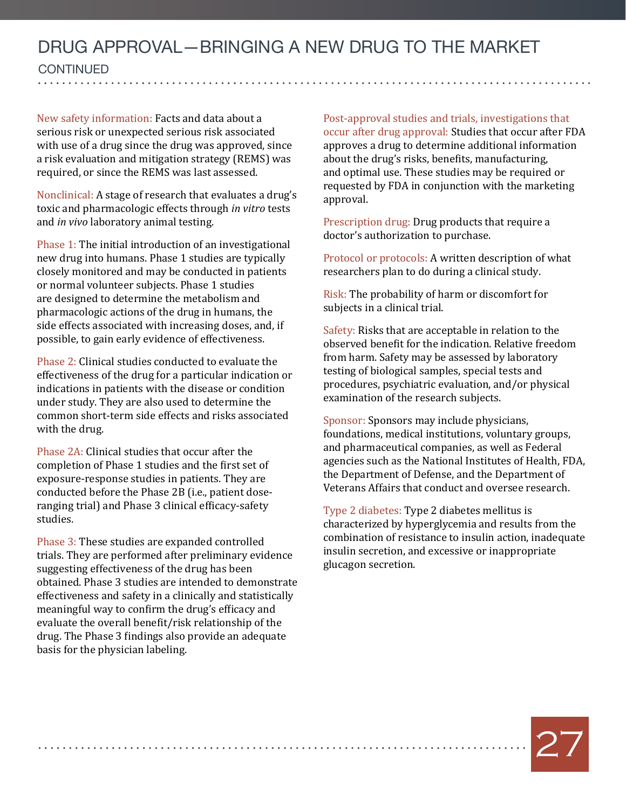New safety information: Facts and data about a serious risk or unexpected serious risk associated with use of a drug since the drug was approved, since a risk evaluation and mitigation strategy (REMS) was required, or since the REMS was last assessed.

Nonclinical: A stage of research that evaluates a drug's toxic and pharmacologic effects through *in vitro* tests and *in vivo* laboratory animal testing.

Phase 1: The initial introduction of an investigational new drug into humans. Phase 1 studies are typically closely monitored and may be conducted in patients or normal volunteer subjects. Phase 1 studies are designed to determine the metabolism and pharmacologic actions of the drug in humans, the side effects associated with increasing doses, and, if possible, to gain early evidence of effectiveness.

Phase 2: Clinical studies conducted to evaluate the effectiveness of the drug for a particular indication or indications in patients with the disease or condition under study. They are also used to determine the common short-term side effects and risks associated with the drug.

Phase 2A: Clinical studies that occur after the completion of Phase 1 studies and the first set of exposure-response studies in patients. They are conducted before the Phase 2B (i.e., patient doseranging trial) and Phase 3 clinical efficacy-safety studies.

Phase 3: These studies are expanded controlled trials. They are performed after preliminary evidence suggesting effectiveness of the drug has been obtained. Phase 3 studies are intended to demonstrate effectiveness and safety in a clinically and statistically meaningful way to confirm the drug's efficacy and evaluate the overall benefit/risk relationship of the drug. The Phase 3 findings also provide an adequate basis for the physician labeling.

Post-approval studies and trials, investigations that occur after drug approval: Studies that occur after FDA approves a drug to determine additional information about the drug's risks, benefits, manufacturing, and optimal use. These studies may be required or requested by FDA in conjunction with the marketing approval.

Prescription drug: Drug products that require a doctor's authorization to purchase.

Protocol or protocols: A written description of what researchers plan to do during a clinical study.

Risk: The probability of harm or discomfort for subjects in a clinical trial.

Safety: Risks that are acceptable in relation to the observed benefit for the indication. Relative freedom from harm. Safety may be assessed by laboratory testing of biological samples, special tests and procedures, psychiatric evaluation, and/or physical examination of the research subjects.

Sponsor: Sponsors may include physicians, foundations, medical institutions, voluntary groups, and pharmaceutical companies, as well as Federal agencies such as the National Institutes of Health, FDA, the Department of Defense, and the Department of Veterans Affairs that conduct and oversee research.

Type 2 diabetes: Type 2 diabetes mellitus is characterized by hyperglycemia and results from the combination of resistance to insulin action, inadequate insulin secretion, and excessive or inappropriate glucagon secretion.

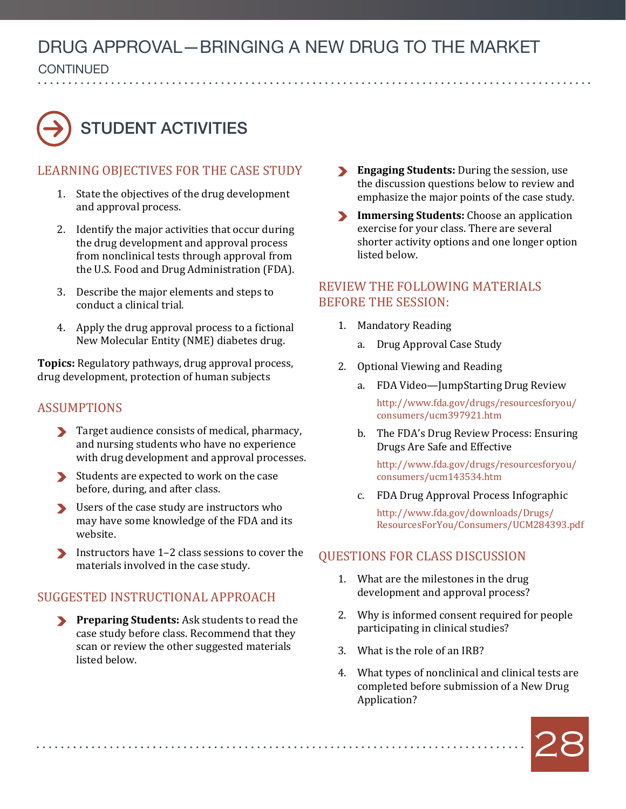**CONTINUED** continued

# STUDENT ACTIVITIES

#### Learning Objectives for the Case Study

- 1. State the objectives of the drug development and approval process.
- 2. Identify the major activities that occur during the drug development and approval process from nonclinical tests through approval from the U.S. Food and Drug Administration (FDA).
- 3. Describe the major elements and steps to conduct a clinical trial.
- 4. Apply the drug approval process to a fictional New Molecular Entity (NME) diabetes drug.

**Topics:** Regulatory pathways, drug approval process, drug development, protection of human subjects

#### **ASSUMPTIONS**

- Target audience consists of medical, pharmacy, and nursing students who have no experience with drug development and approval processes.
- Students are expected to work on the case before, during, and after class.
- Users of the case study are instructors who may have some knowledge of the FDA and its website.
- Instructors have 1–2 class sessions to cover the materials involved in the case study.

#### Suggested Instructional Approach

**Preparing Students:** Ask students to read the case study before class. Recommend that they scan or review the other suggested materials listed below.

- **Engaging Students:** During the session, use the discussion questions below to review and emphasize the major points of the case study.
- **Immersing Students:** Choose an application exercise for your class. There are several shorter activity options and one longer option listed below.

#### Review the following materials before the session:

- 1. Mandatory Reading
	- a. Drug Approval Case Study
- 2. Optional Viewing and Reading
	- a. FDA Video—JumpStarting Drug Review [http://www.fda.gov/drugs/resourcesforyou/](http://www.fda.gov/drugs/resourcesforyou/consumers/ucm397921.htm) [consumers/ucm397921.htm](http://www.fda.gov/drugs/resourcesforyou/consumers/ucm397921.htm)
	- b. The FDA's Drug Review Process: Ensuring Drugs Are Safe and Effective

[http://www.fda.gov/drugs/resourcesforyou/](http://www.fda.gov/drugs/resourcesforyou/consumers/ucm143534.htm) [consumers/ucm143534.htm](http://www.fda.gov/drugs/resourcesforyou/consumers/ucm143534.htm)

c. FDA Drug Approval Process Infographic

[http://www.fda.gov/downloads/Drugs/](http://www.fda.gov/downloads/Drugs/ResourcesForYou/Consumers/UCM284393.pdf) [ResourcesForYou/Consumers/UCM284393.pdf](http://www.fda.gov/downloads/Drugs/ResourcesForYou/Consumers/UCM284393.pdf)

#### QUESTIONS FOR CLASS DISCUSSION

- 1. What are the milestones in the drug development and approval process?
- 2. Why is informed consent required for people participating in clinical studies?
- 3. What is the role of an IRB?
- 4. What types of nonclinical and clinical tests are completed before submission of a New Drug Application?

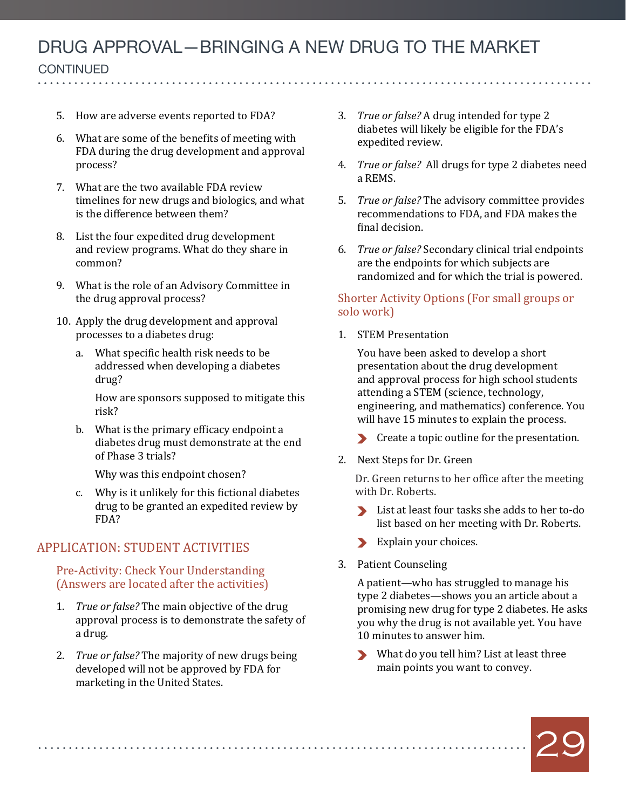**CONTINUED** 

continued

- 5. How are adverse events reported to FDA?
- 6. What are some of the benefits of meeting with FDA during the drug development and approval process?
- 7. What are the two available FDA review timelines for new drugs and biologics, and what is the difference between them?
- 8. List the four expedited drug development and review programs. What do they share in common?
- 9. What is the role of an Advisory Committee in the drug approval process?
- 10. Apply the drug development and approval processes to a diabetes drug:
	- a. What specific health risk needs to be addressed when developing a diabetes drug?

How are sponsors supposed to mitigate this risk?

b. What is the primary efficacy endpoint a diabetes drug must demonstrate at the end of Phase 3 trials?

Why was this endpoint chosen?

c. Why is it unlikely for this fictional diabetes drug to be granted an expedited review by FDA?

#### APPLICATION: STUDENT ACTIVITIES

Pre-Activity: Check Your Understanding (Answers are located after the activities)

- 1. *True or false?* The main objective of the drug approval process is to demonstrate the safety of a drug.
- 2. *True or false?* The majority of new drugs being developed will not be approved by FDA for marketing in the United States.

- 3. *True or false?* A drug intended for type 2 diabetes will likely be eligible for the FDA's expedited review.
- 4. *True or false?* All drugs for type 2 diabetes need a REMS.
- 5. *True or false?* The advisory committee provides recommendations to FDA, and FDA makes the final decision.
- 6. *True or false?* Secondary clinical trial endpoints are the endpoints for which subjects are randomized and for which the trial is powered.

#### Shorter Activity Options (For small groups or solo work)

1. STEM Presentation

You have been asked to develop a short presentation about the drug development and approval process for high school students attending a STEM (science, technology, engineering, and mathematics) conference. You will have 15 minutes to explain the process.

- Create a topic outline for the presentation.
- 2. Next Steps for Dr. Green

Dr. Green returns to her office after the meeting with Dr. Roberts.

- List at least four tasks she adds to her to-do list based on her meeting with Dr. Roberts.
- Explain your choices.
- 3. Patient Counseling

A patient—who has struggled to manage his type 2 diabetes—shows you an article about a promising new drug for type 2 diabetes. He asks you why the drug is not available yet. You have 10 minutes to answer him.

What do you tell him? List at least three main points you want to convey.